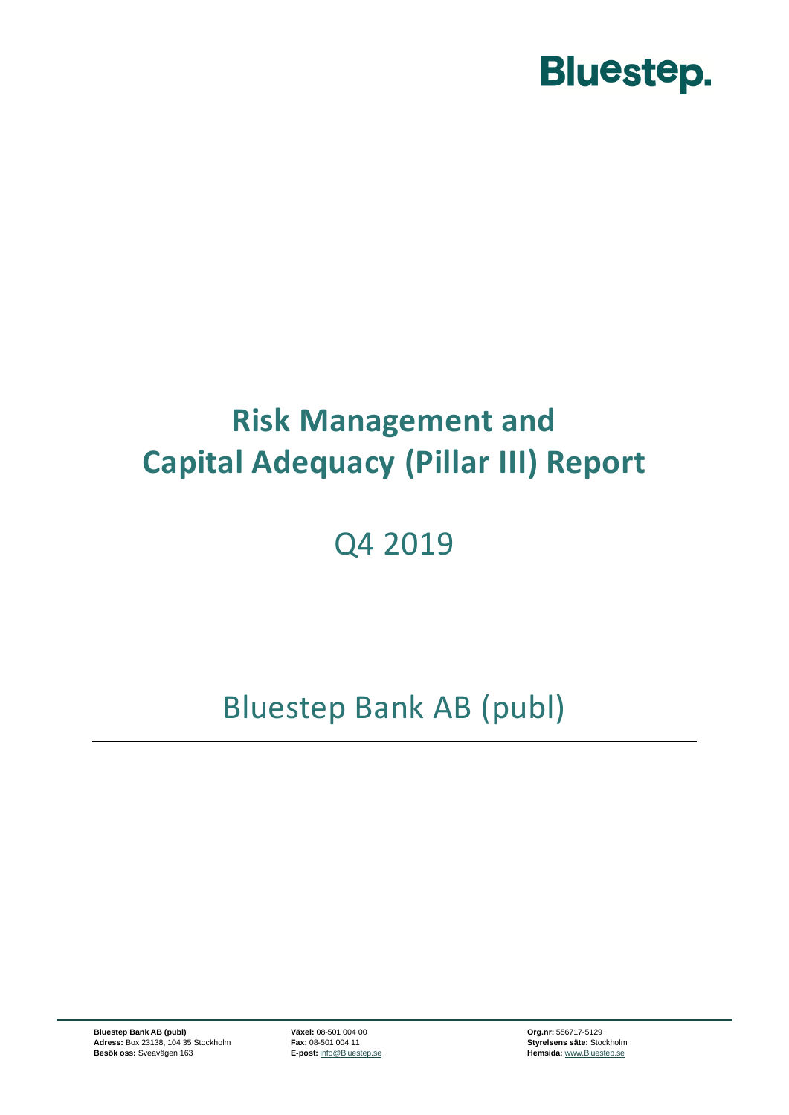

### **Risk Management and Capital Adequacy (Pillar III) Report**

### Q4 2019

Bluestep Bank AB (publ)

**Bluestep Bank AB (publ) Växel:** 08-501 004 00 **Org.nr:** 556717-5129 **Adress:** Box 23138, 104 35 Stockholm **Fax:** 08-501 004 11 **Styrelsens säte:** Stockholm **Besök oss:** Sveavägen 163 **E-post:** [info@Bluestep.se](mailto:info@bluestep.se) **Besök oss: Sveavägen 163 Hemsida:** [www.Bluestep.se](http://www.bluestep.se/)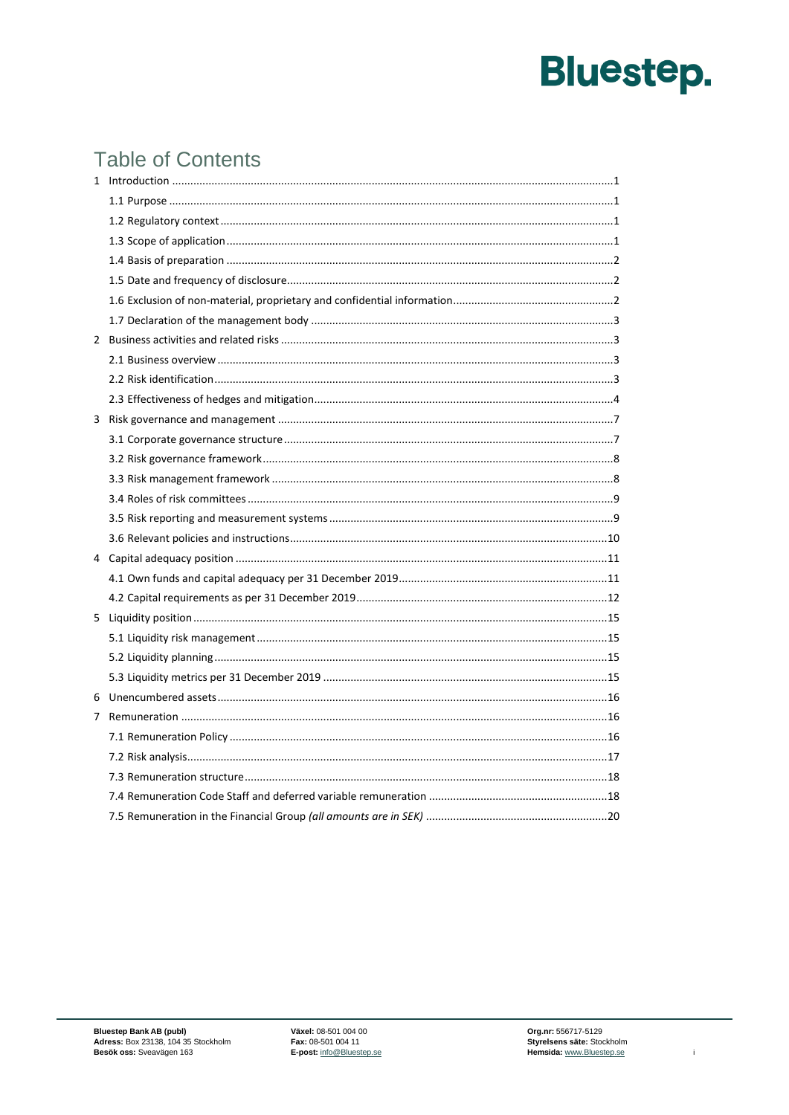### **Table of Contents**

| 2 |  |
|---|--|
|   |  |
|   |  |
|   |  |
|   |  |
|   |  |
|   |  |
|   |  |
|   |  |
|   |  |
|   |  |
|   |  |
|   |  |
|   |  |
| 5 |  |
|   |  |
|   |  |
|   |  |
|   |  |
| 7 |  |
|   |  |
|   |  |
|   |  |
|   |  |
|   |  |

 $\mathbf{r}$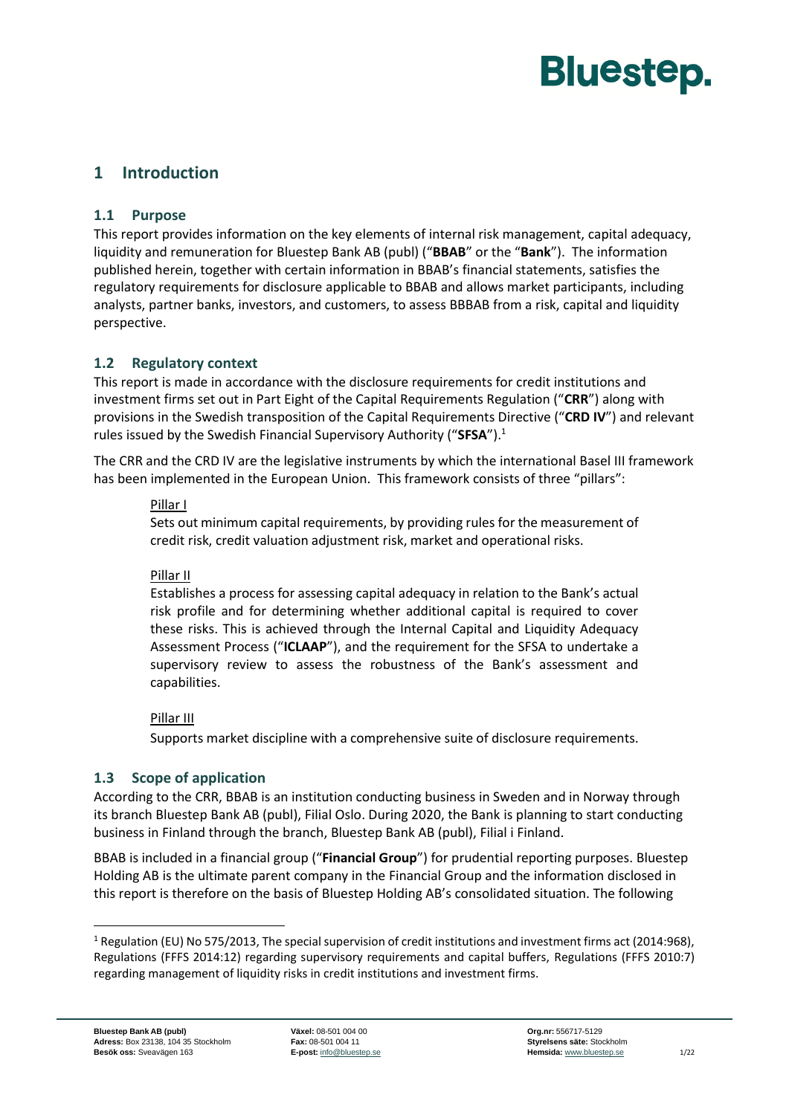#### <span id="page-2-1"></span><span id="page-2-0"></span>**1 Introduction**

#### **1.1 Purpose**

This report provides information on the key elements of internal risk management, capital adequacy, liquidity and remuneration for Bluestep Bank AB (publ) ("**BBAB**" or the "**Bank**"). The information published herein, together with certain information in BBAB's financial statements, satisfies the regulatory requirements for disclosure applicable to BBAB and allows market participants, including analysts, partner banks, investors, and customers, to assess BBBAB from a risk, capital and liquidity perspective.

#### <span id="page-2-2"></span>**1.2 Regulatory context**

This report is made in accordance with the disclosure requirements for credit institutions and investment firms set out in Part Eight of the Capital Requirements Regulation ("**CRR**") along with provisions in the Swedish transposition of the Capital Requirements Directive ("**CRD IV**") and relevant rules issued by the Swedish Financial Supervisory Authority ("**SFSA**").<sup>1</sup>

The CRR and the CRD IV are the legislative instruments by which the international Basel III framework has been implemented in the European Union. This framework consists of three "pillars":

#### Pillar I

Sets out minimum capital requirements, by providing rules for the measurement of credit risk, credit valuation adjustment risk, market and operational risks.

#### Pillar II

Establishes a process for assessing capital adequacy in relation to the Bank's actual risk profile and for determining whether additional capital is required to cover these risks. This is achieved through the Internal Capital and Liquidity Adequacy Assessment Process ("**ICLAAP**"), and the requirement for the SFSA to undertake a supervisory review to assess the robustness of the Bank's assessment and capabilities.

#### Pillar III

Supports market discipline with a comprehensive suite of disclosure requirements.

#### <span id="page-2-3"></span>**1.3 Scope of application**

According to the CRR, BBAB is an institution conducting business in Sweden and in Norway through its branch Bluestep Bank AB (publ), Filial Oslo. During 2020, the Bank is planning to start conducting business in Finland through the branch, Bluestep Bank AB (publ), Filial i Finland.

BBAB is included in a financial group ("**Financial Group**") for prudential reporting purposes. Bluestep Holding AB is the ultimate parent company in the Financial Group and the information disclosed in this report is therefore on the basis of Bluestep Holding AB's consolidated situation. The following

<sup>&</sup>lt;sup>1</sup> Regulation (EU) No 575/2013, The special supervision of credit institutions and investment firms act (2014:968), Regulations (FFFS 2014:12) regarding supervisory requirements and capital buffers, Regulations (FFFS 2010:7) regarding management of liquidity risks in credit institutions and investment firms.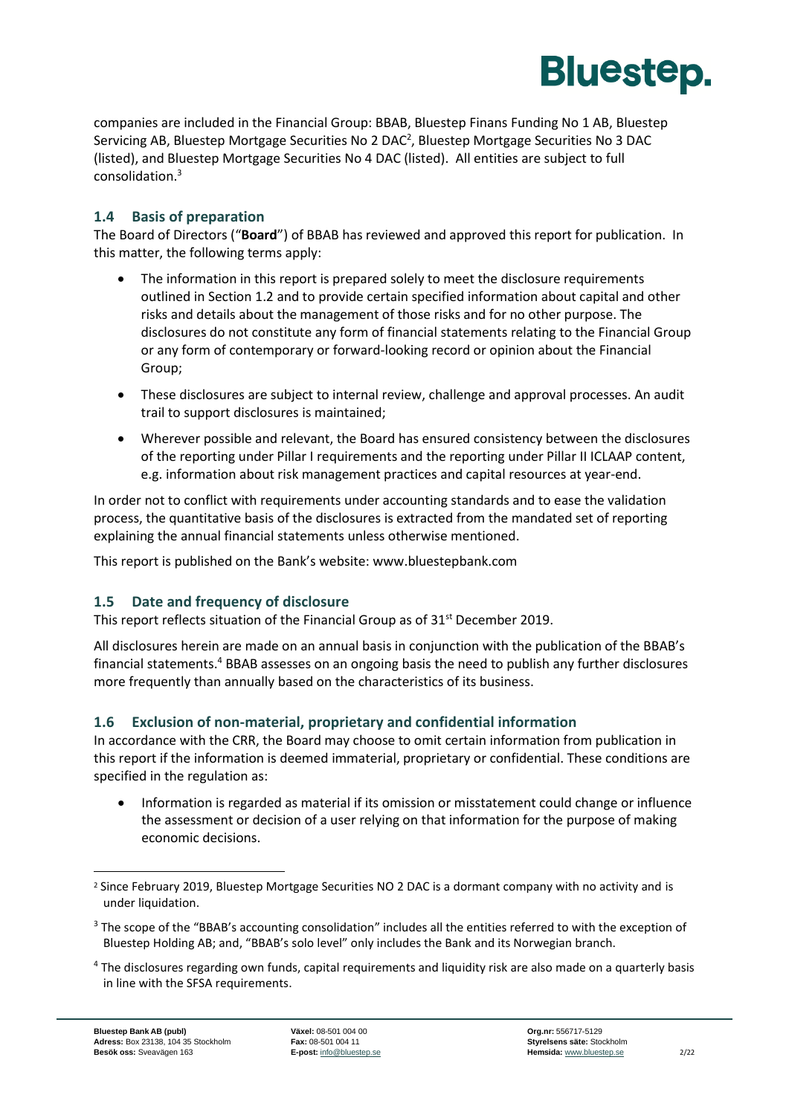

companies are included in the Financial Group: BBAB, Bluestep Finans Funding No 1 AB, Bluestep Servicing AB, Bluestep Mortgage Securities No 2 DAC<sup>2</sup>, Bluestep Mortgage Securities No 3 DAC (listed), and Bluestep Mortgage Securities No 4 DAC (listed). All entities are subject to full consolidation.<sup>3</sup>

#### <span id="page-3-0"></span>**1.4 Basis of preparation**

The Board of Directors ("**Board**") of BBAB has reviewed and approved this report for publication. In this matter, the following terms apply:

- The information in this report is prepared solely to meet the disclosure requirements outlined in Section [1.2](#page-2-2) and to provide certain specified information about capital and other risks and details about the management of those risks and for no other purpose. The disclosures do not constitute any form of financial statements relating to the Financial Group or any form of contemporary or forward-looking record or opinion about the Financial Group;
- These disclosures are subject to internal review, challenge and approval processes. An audit trail to support disclosures is maintained;
- Wherever possible and relevant, the Board has ensured consistency between the disclosures of the reporting under Pillar I requirements and the reporting under Pillar II ICLAAP content, e.g. information about risk management practices and capital resources at year-end.

In order not to conflict with requirements under accounting standards and to ease the validation process, the quantitative basis of the disclosures is extracted from the mandated set of reporting explaining the annual financial statements unless otherwise mentioned.

This report is published on the Bank's website: www.bluestepbank.com

#### <span id="page-3-1"></span>**1.5 Date and frequency of disclosure**

This report reflects situation of the Financial Group as of 31<sup>st</sup> December 2019.

All disclosures herein are made on an annual basis in conjunction with the publication of the BBAB's financial statements.<sup>4</sup> BBAB assesses on an ongoing basis the need to publish any further disclosures more frequently than annually based on the characteristics of its business.

#### <span id="page-3-2"></span>**1.6 Exclusion of non-material, proprietary and confidential information**

In accordance with the CRR, the Board may choose to omit certain information from publication in this report if the information is deemed immaterial, proprietary or confidential. These conditions are specified in the regulation as:

• Information is regarded as material if its omission or misstatement could change or influence the assessment or decision of a user relying on that information for the purpose of making economic decisions.

<sup>&</sup>lt;sup>2</sup> Since February 2019, Bluestep Mortgage Securities NO 2 DAC is a dormant company with no activity and is under liquidation.

<sup>&</sup>lt;sup>3</sup> The scope of the "BBAB's accounting consolidation" includes all the entities referred to with the exception of Bluestep Holding AB; and, "BBAB's solo level" only includes the Bank and its Norwegian branch.

<sup>4</sup> The disclosures regarding own funds, capital requirements and liquidity risk are also made on a quarterly basis in line with the SFSA requirements.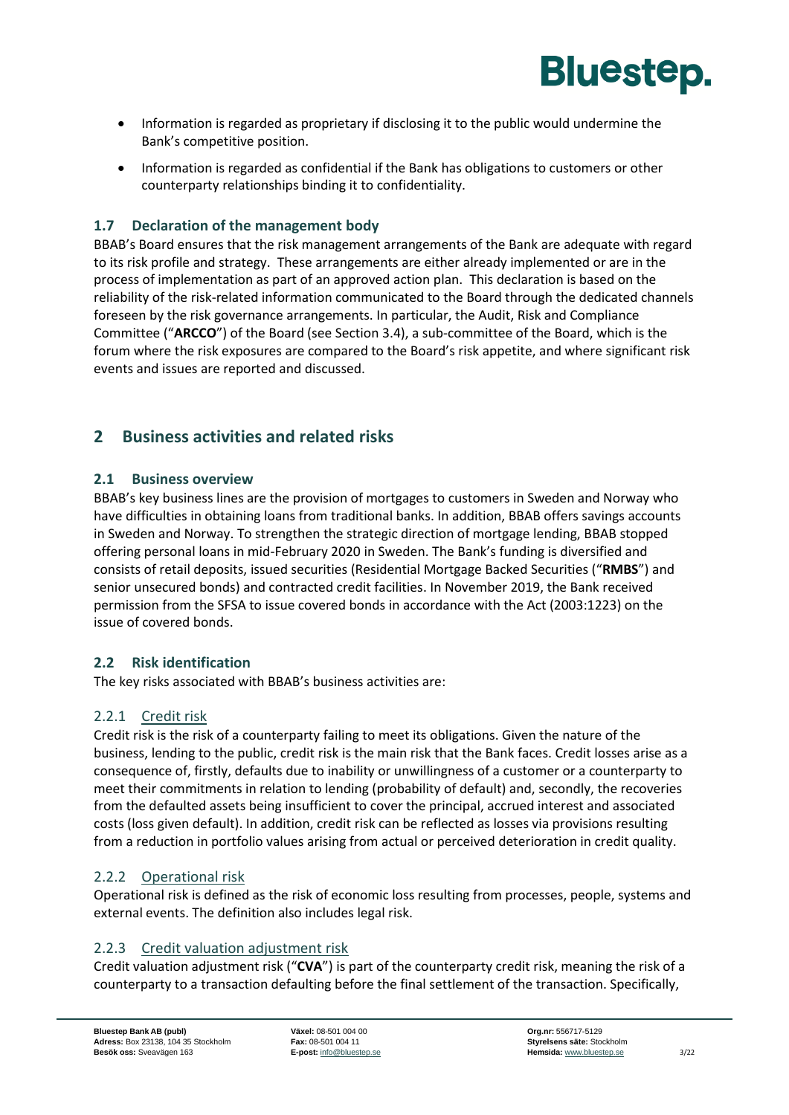

- Information is regarded as proprietary if disclosing it to the public would undermine the Bank's competitive position.
- Information is regarded as confidential if the Bank has obligations to customers or other counterparty relationships binding it to confidentiality.

#### <span id="page-4-0"></span>**1.7 Declaration of the management body**

BBAB's Board ensures that the risk management arrangements of the Bank are adequate with regard to its risk profile and strategy. These arrangements are either already implemented or are in the process of implementation as part of an approved action plan. This declaration is based on the reliability of the risk-related information communicated to the Board through the dedicated channels foreseen by the risk governance arrangements. In particular, the Audit, Risk and Compliance Committee ("**ARCCO**") of the Board (see Section [3.4\)](#page-10-0), a sub-committee of the Board, which is the forum where the risk exposures are compared to the Board's risk appetite, and where significant risk events and issues are reported and discussed.

#### <span id="page-4-2"></span><span id="page-4-1"></span>**2 Business activities and related risks**

#### **2.1 Business overview**

BBAB's key business lines are the provision of mortgages to customers in Sweden and Norway who have difficulties in obtaining loans from traditional banks. In addition, BBAB offers savings accounts in Sweden and Norway. To strengthen the strategic direction of mortgage lending, BBAB stopped offering personal loans in mid-February 2020 in Sweden. The Bank's funding is diversified and consists of retail deposits, issued securities (Residential Mortgage Backed Securities ("**RMBS**") and senior unsecured bonds) and contracted credit facilities. In November 2019, the Bank received permission from the SFSA to issue covered bonds in accordance with the Act (2003:1223) on the issue of covered bonds.

#### <span id="page-4-3"></span>**2.2 Risk identification**

The key risks associated with BBAB's business activities are:

#### 2.2.1 Credit risk

Credit risk is the risk of a counterparty failing to meet its obligations. Given the nature of the business, lending to the public, credit risk is the main risk that the Bank faces. Credit losses arise as a consequence of, firstly, defaults due to inability or unwillingness of a customer or a counterparty to meet their commitments in relation to lending (probability of default) and, secondly, the recoveries from the defaulted assets being insufficient to cover the principal, accrued interest and associated costs (loss given default). In addition, credit risk can be reflected as losses via provisions resulting from a reduction in portfolio values arising from actual or perceived deterioration in credit quality.

#### 2.2.2 Operational risk

Operational risk is defined as the risk of economic loss resulting from processes, people, systems and external events. The definition also includes legal risk.

#### 2.2.3 Credit valuation adjustment risk

Credit valuation adjustment risk ("**CVA**") is part of the counterparty credit risk, meaning the risk of a counterparty to a transaction defaulting before the final settlement of the transaction. Specifically,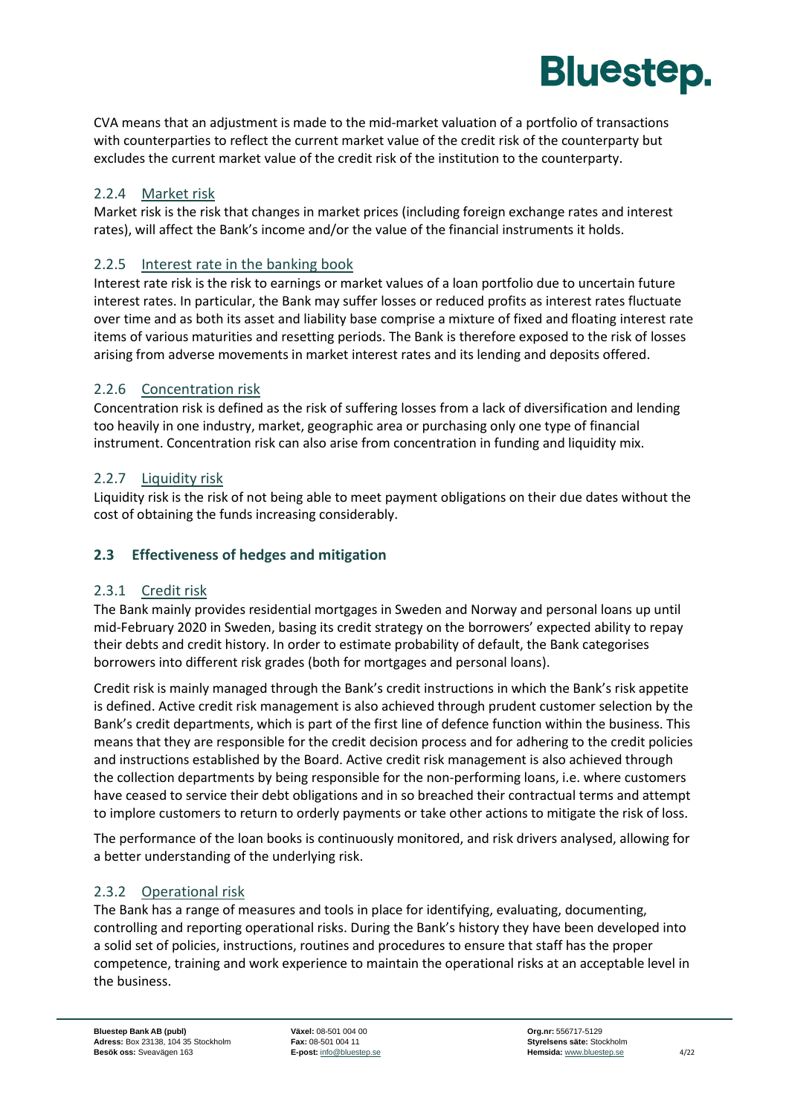

CVA means that an adjustment is made to the mid‐market valuation of a portfolio of transactions with counterparties to reflect the current market value of the credit risk of the counterparty but excludes the current market value of the credit risk of the institution to the counterparty.

#### 2.2.4 Market risk

Market risk is the risk that changes in market prices (including foreign exchange rates and interest rates), will affect the Bank's income and/or the value of the financial instruments it holds.

#### 2.2.5 Interest rate in the banking book

Interest rate risk is the risk to earnings or market values of a loan portfolio due to uncertain future interest rates. In particular, the Bank may suffer losses or reduced profits as interest rates fluctuate over time and as both its asset and liability base comprise a mixture of fixed and floating interest rate items of various maturities and resetting periods. The Bank is therefore exposed to the risk of losses arising from adverse movements in market interest rates and its lending and deposits offered.

#### 2.2.6 Concentration risk

Concentration risk is defined as the risk of suffering losses from a lack of diversification and lending too heavily in one industry, market, geographic area or purchasing only one type of financial instrument. Concentration risk can also arise from concentration in funding and liquidity mix.

#### 2.2.7 Liquidity risk

Liquidity risk is the risk of not being able to meet payment obligations on their due dates without the cost of obtaining the funds increasing considerably.

#### <span id="page-5-0"></span>**2.3 Effectiveness of hedges and mitigation**

#### 2.3.1 Credit risk

The Bank mainly provides residential mortgages in Sweden and Norway and personal loans up until mid-February 2020 in Sweden, basing its credit strategy on the borrowers' expected ability to repay their debts and credit history. In order to estimate probability of default, the Bank categorises borrowers into different risk grades (both for mortgages and personal loans).

Credit risk is mainly managed through the Bank's credit instructions in which the Bank's risk appetite is defined. Active credit risk management is also achieved through prudent customer selection by the Bank's credit departments, which is part of the first line of defence function within the business. This means that they are responsible for the credit decision process and for adhering to the credit policies and instructions established by the Board. Active credit risk management is also achieved through the collection departments by being responsible for the non-performing loans, i.e. where customers have ceased to service their debt obligations and in so breached their contractual terms and attempt to implore customers to return to orderly payments or take other actions to mitigate the risk of loss.

The performance of the loan books is continuously monitored, and risk drivers analysed, allowing for a better understanding of the underlying risk.

#### 2.3.2 Operational risk

The Bank has a range of measures and tools in place for identifying, evaluating, documenting, controlling and reporting operational risks. During the Bank's history they have been developed into a solid set of policies, instructions, routines and procedures to ensure that staff has the proper competence, training and work experience to maintain the operational risks at an acceptable level in the business.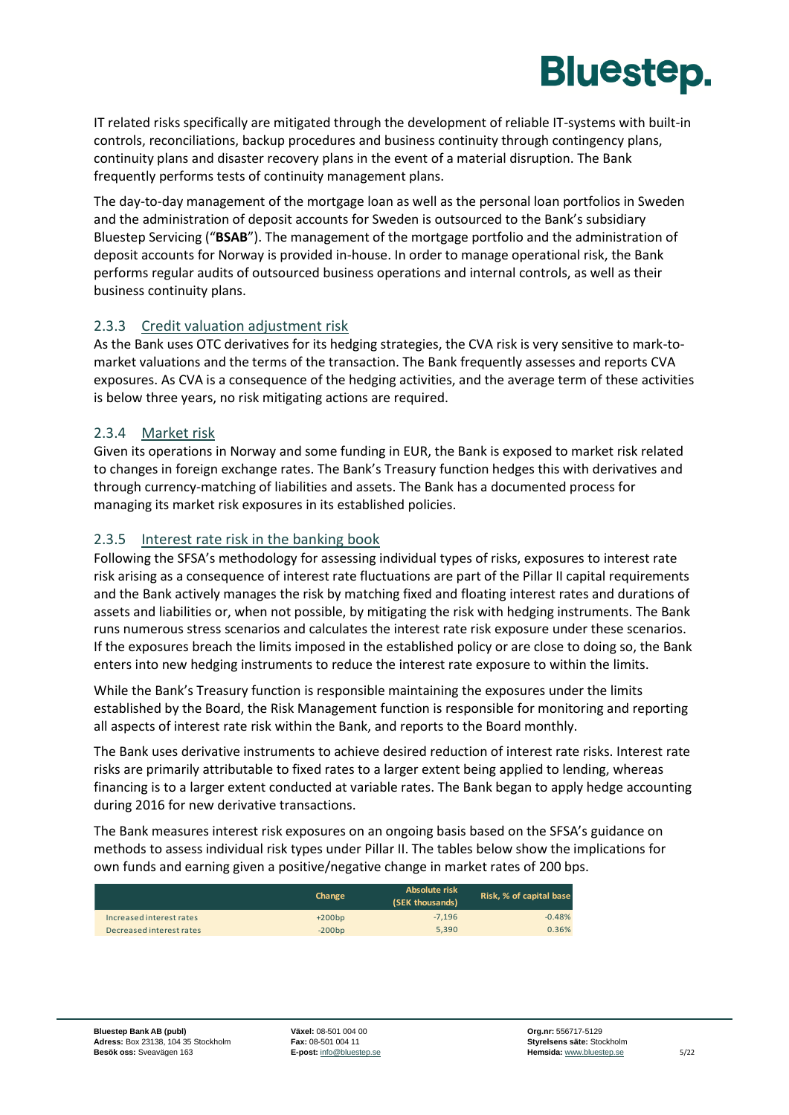

IT related risks specifically are mitigated through the development of reliable IT-systems with built-in controls, reconciliations, backup procedures and business continuity through contingency plans, continuity plans and disaster recovery plans in the event of a material disruption. The Bank frequently performs tests of continuity management plans.

The day-to-day management of the mortgage loan as well as the personal loan portfolios in Sweden and the administration of deposit accounts for Sweden is outsourced to the Bank's subsidiary Bluestep Servicing ("**BSAB**"). The management of the mortgage portfolio and the administration of deposit accounts for Norway is provided in-house. In order to manage operational risk, the Bank performs regular audits of outsourced business operations and internal controls, as well as their business continuity plans.

#### 2.3.3 Credit valuation adjustment risk

As the Bank uses OTC derivatives for its hedging strategies, the CVA risk is very sensitive to mark-tomarket valuations and the terms of the transaction. The Bank frequently assesses and reports CVA exposures. As CVA is a consequence of the hedging activities, and the average term of these activities is below three years, no risk mitigating actions are required.

#### 2.3.4 Market risk

Given its operations in Norway and some funding in EUR, the Bank is exposed to market risk related to changes in foreign exchange rates. The Bank's Treasury function hedges this with derivatives and through currency-matching of liabilities and assets. The Bank has a documented process for managing its market risk exposures in its established policies.

#### 2.3.5 Interest rate risk in the banking book

Following the SFSA's methodology for assessing individual types of risks, exposures to interest rate risk arising as a consequence of interest rate fluctuations are part of the Pillar II capital requirements and the Bank actively manages the risk by matching fixed and floating interest rates and durations of assets and liabilities or, when not possible, by mitigating the risk with hedging instruments. The Bank runs numerous stress scenarios and calculates the interest rate risk exposure under these scenarios. If the exposures breach the limits imposed in the established policy or are close to doing so, the Bank enters into new hedging instruments to reduce the interest rate exposure to within the limits.

While the Bank's Treasury function is responsible maintaining the exposures under the limits established by the Board, the Risk Management function is responsible for monitoring and reporting all aspects of interest rate risk within the Bank, and reports to the Board monthly.

The Bank uses derivative instruments to achieve desired reduction of interest rate risks. Interest rate risks are primarily attributable to fixed rates to a larger extent being applied to lending, whereas financing is to a larger extent conducted at variable rates. The Bank began to apply hedge accounting during 2016 for new derivative transactions.

The Bank measures interest risk exposures on an ongoing basis based on the SFSA's guidance on methods to assess individual risk types under Pillar II. The tables below show the implications for own funds and earning given a positive/negative change in market rates of 200 bps.

|                          | Change   | Absolute risk<br>(SEK thousands) | Risk, % of capital base |
|--------------------------|----------|----------------------------------|-------------------------|
| Increased interest rates | $+200bp$ | $-7.196$                         | $-0.48%$                |
| Decreased interest rates | $-200bp$ | 5.390                            | 0.36%                   |
|                          |          |                                  |                         |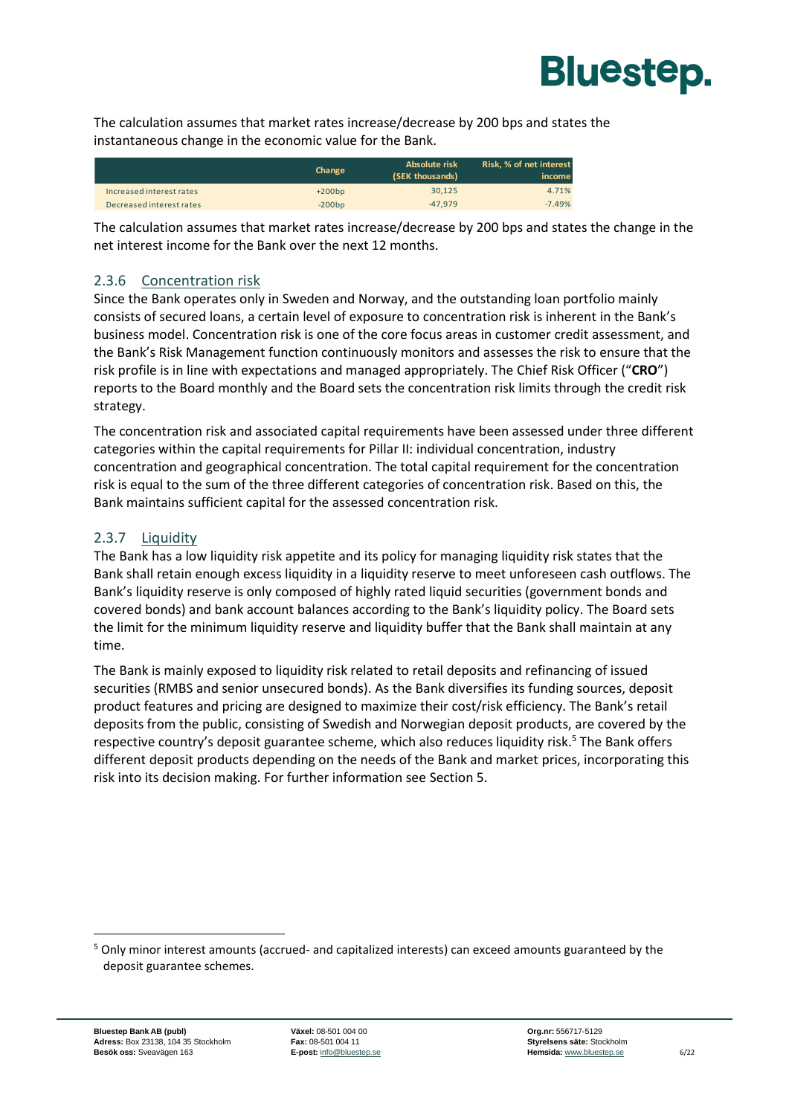

The calculation assumes that market rates increase/decrease by 200 bps and states the instantaneous change in the economic value for the Bank.

|                          | <b>Change</b> | Absolute risk<br>(SEK thousands) | Risk. % of net interest<br>income |
|--------------------------|---------------|----------------------------------|-----------------------------------|
| Increased interest rates | $+200bp$      | 30.125                           | 4.71%                             |
| Decreased interest rates | $-200bp$      | $-47.979$                        | $-7.49%$                          |

The calculation assumes that market rates increase/decrease by 200 bps and states the change in the net interest income for the Bank over the next 12 months.

#### 2.3.6 Concentration risk

Since the Bank operates only in Sweden and Norway, and the outstanding loan portfolio mainly consists of secured loans, a certain level of exposure to concentration risk is inherent in the Bank's business model. Concentration risk is one of the core focus areas in customer credit assessment, and the Bank's Risk Management function continuously monitors and assesses the risk to ensure that the risk profile is in line with expectations and managed appropriately. The Chief Risk Officer ("**CRO**") reports to the Board monthly and the Board sets the concentration risk limits through the credit risk strategy.

The concentration risk and associated capital requirements have been assessed under three different categories within the capital requirements for Pillar II: individual concentration, industry concentration and geographical concentration. The total capital requirement for the concentration risk is equal to the sum of the three different categories of concentration risk. Based on this, the Bank maintains sufficient capital for the assessed concentration risk.

#### 2.3.7 Liquidity

The Bank has a low liquidity risk appetite and its policy for managing liquidity risk states that the Bank shall retain enough excess liquidity in a liquidity reserve to meet unforeseen cash outflows. The Bank's liquidity reserve is only composed of highly rated liquid securities (government bonds and covered bonds) and bank account balances according to the Bank's liquidity policy. The Board sets the limit for the minimum liquidity reserve and liquidity buffer that the Bank shall maintain at any time.

The Bank is mainly exposed to liquidity risk related to retail deposits and refinancing of issued securities (RMBS and senior unsecured bonds). As the Bank diversifies its funding sources, deposit product features and pricing are designed to maximize their cost/risk efficiency. The Bank's retail deposits from the public, consisting of Swedish and Norwegian deposit products, are covered by the respective country's deposit guarantee scheme, which also reduces liquidity risk.<sup>5</sup> The Bank offers different deposit products depending on the needs of the Bank and market prices, incorporating this risk into its decision making. For further information see Section [5.](#page-16-0)

<sup>5</sup> Only minor interest amounts (accrued- and capitalized interests) can exceed amounts guaranteed by the deposit guarantee schemes.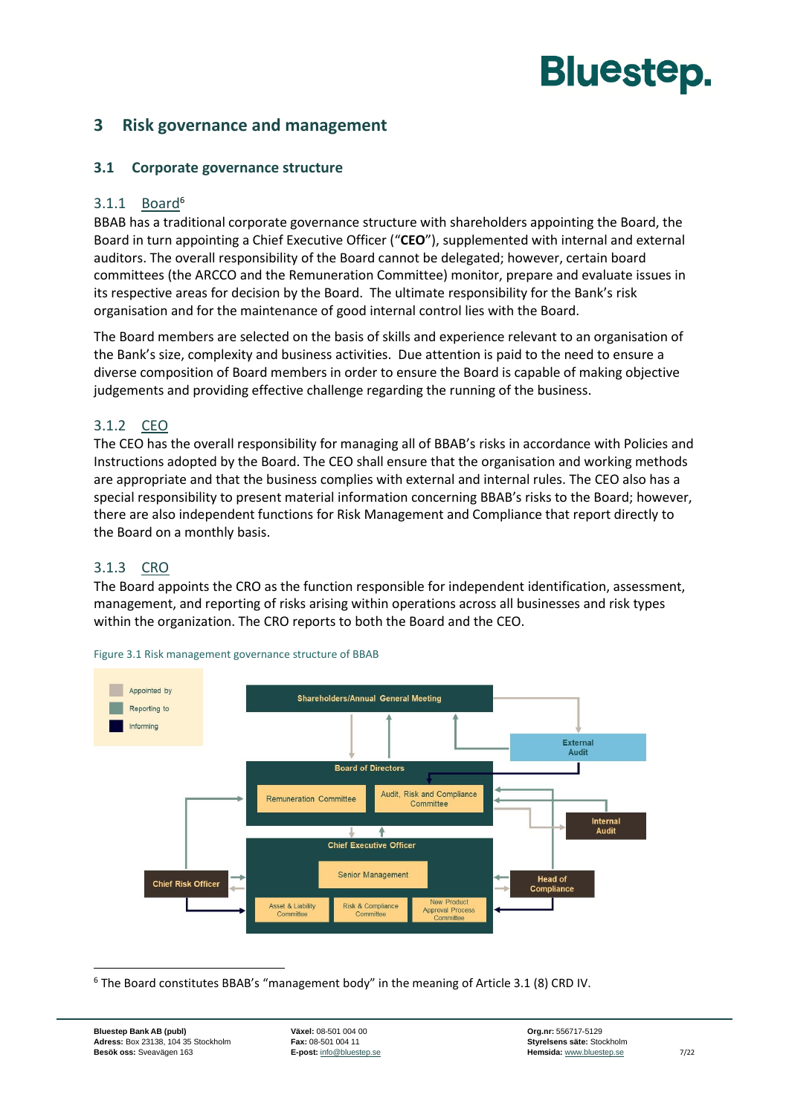#### <span id="page-8-1"></span><span id="page-8-0"></span>**3 Risk governance and management**

#### **3.1 Corporate governance structure**

#### $3.1.1$  Board<sup>6</sup>

BBAB has a traditional corporate governance structure with shareholders appointing the Board, the Board in turn appointing a Chief Executive Officer ("**CEO**"), supplemented with internal and external auditors. The overall responsibility of the Board cannot be delegated; however, certain board committees (the ARCCO and the Remuneration Committee) monitor, prepare and evaluate issues in its respective areas for decision by the Board. The ultimate responsibility for the Bank's risk organisation and for the maintenance of good internal control lies with the Board.

The Board members are selected on the basis of skills and experience relevant to an organisation of the Bank's size, complexity and business activities. Due attention is paid to the need to ensure a diverse composition of Board members in order to ensure the Board is capable of making objective judgements and providing effective challenge regarding the running of the business.

#### 3.1.2 CEO

The CEO has the overall responsibility for managing all of BBAB's risks in accordance with Policies and Instructions adopted by the Board. The CEO shall ensure that the organisation and working methods are appropriate and that the business complies with external and internal rules. The CEO also has a special responsibility to present material information concerning BBAB's risks to the Board; however, there are also independent functions for Risk Management and Compliance that report directly to the Board on a monthly basis.

#### 3.1.3 CRO

The Board appoints the CRO as the function responsible for independent identification, assessment, management, and reporting of risks arising within operations across all businesses and risk types within the organization. The CRO reports to both the Board and the CEO.



Figure 3.1 Risk management governance structure of BBAB

<sup>6</sup> The Board constitutes BBAB's "management body" in the meaning of Article 3.1 (8) CRD IV.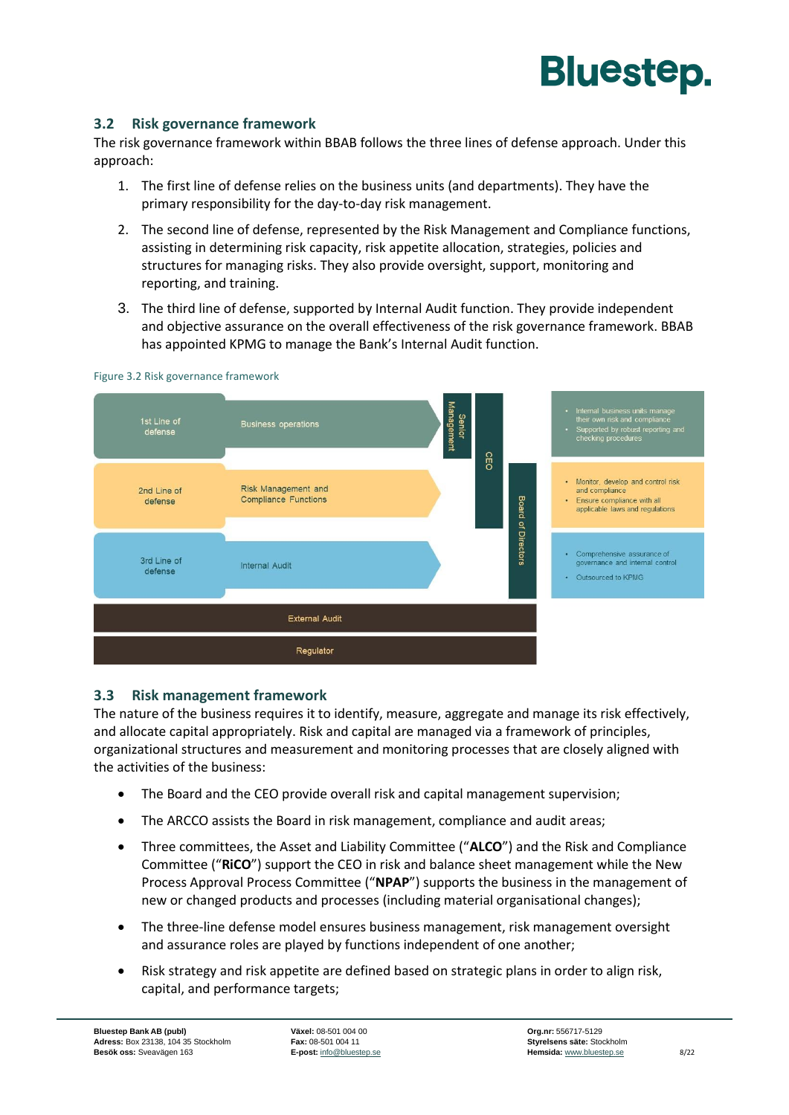

#### <span id="page-9-0"></span>**3.2 Risk governance framework**

The risk governance framework within BBAB follows the three lines of defense approach. Under this approach:

- 1. The first line of defense relies on the business units (and departments). They have the primary responsibility for the day-to-day risk management.
- 2. The second line of defense, represented by the Risk Management and Compliance functions, assisting in determining risk capacity, risk appetite allocation, strategies, policies and structures for managing risks. They also provide oversight, support, monitoring and reporting, and training.
- 3. The third line of defense, supported by Internal Audit function. They provide independent and objective assurance on the overall effectiveness of the risk governance framework. BBAB has appointed KPMG to manage the Bank's Internal Audit function.



Figure 3.2 Risk governance framework

#### <span id="page-9-1"></span>**3.3 Risk management framework**

The nature of the business requires it to identify, measure, aggregate and manage its risk effectively, and allocate capital appropriately. Risk and capital are managed via a framework of principles, organizational structures and measurement and monitoring processes that are closely aligned with the activities of the business:

- The Board and the CEO provide overall risk and capital management supervision;
- The ARCCO assists the Board in risk management, compliance and audit areas;
- Three committees, the Asset and Liability Committee ("**ALCO**") and the Risk and Compliance Committee ("**RiCO**") support the CEO in risk and balance sheet management while the New Process Approval Process Committee ("**NPAP**") supports the business in the management of new or changed products and processes (including material organisational changes);
- The three-line defense model ensures business management, risk management oversight and assurance roles are played by functions independent of one another;
- Risk strategy and risk appetite are defined based on strategic plans in order to align risk, capital, and performance targets;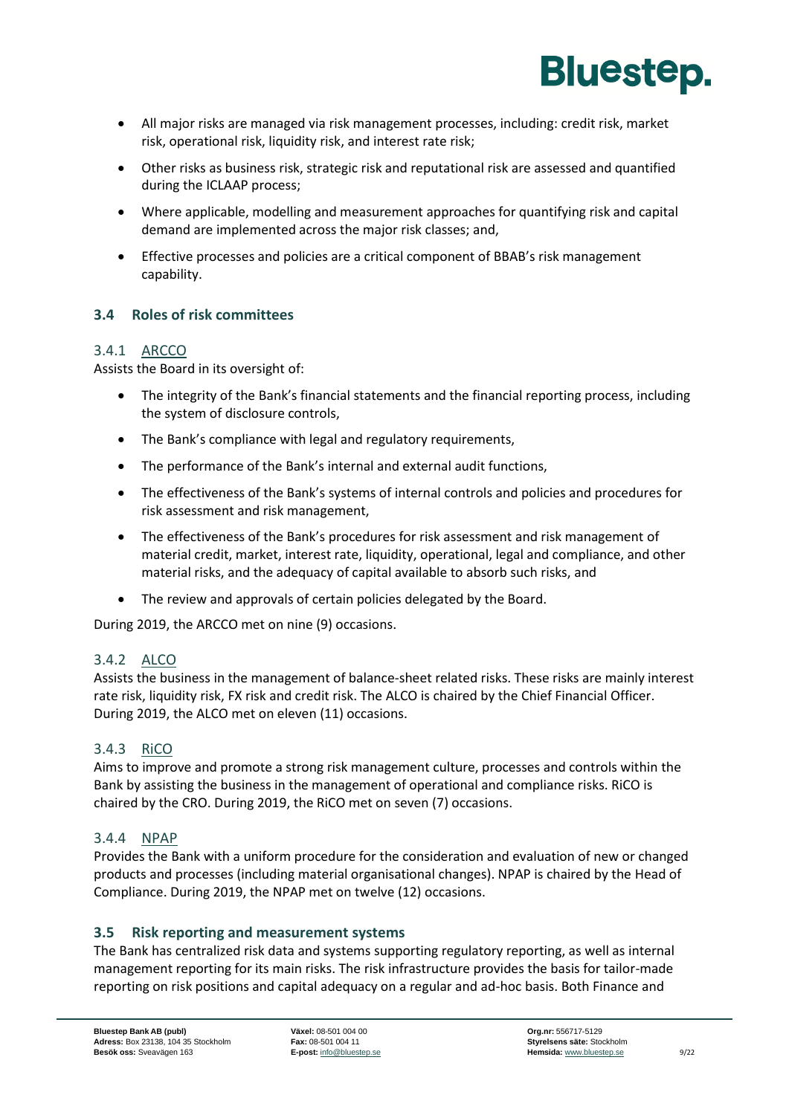

- All major risks are managed via risk management processes, including: credit risk, market risk, operational risk, liquidity risk, and interest rate risk;
- Other risks as business risk, strategic risk and reputational risk are assessed and quantified during the ICLAAP process;
- Where applicable, modelling and measurement approaches for quantifying risk and capital demand are implemented across the major risk classes; and,
- Effective processes and policies are a critical component of BBAB's risk management capability.

#### <span id="page-10-0"></span>**3.4 Roles of risk committees**

#### 3.4.1 ARCCO

Assists the Board in its oversight of:

- The integrity of the Bank's financial statements and the financial reporting process, including the system of disclosure controls,
- The Bank's compliance with legal and regulatory requirements,
- The performance of the Bank's internal and external audit functions,
- The effectiveness of the Bank's systems of internal controls and policies and procedures for risk assessment and risk management,
- The effectiveness of the Bank's procedures for risk assessment and risk management of material credit, market, interest rate, liquidity, operational, legal and compliance, and other material risks, and the adequacy of capital available to absorb such risks, and
- The review and approvals of certain policies delegated by the Board.

During 2019, the ARCCO met on nine (9) occasions.

#### 3.4.2 ALCO

Assists the business in the management of balance-sheet related risks. These risks are mainly interest rate risk, liquidity risk, FX risk and credit risk. The ALCO is chaired by the Chief Financial Officer. During 2019, the ALCO met on eleven (11) occasions.

#### 3.4.3 RiCO

Aims to improve and promote a strong risk management culture, processes and controls within the Bank by assisting the business in the management of operational and compliance risks. RiCO is chaired by the CRO. During 2019, the RiCO met on seven (7) occasions.

#### 3.4.4 NPAP

Provides the Bank with a uniform procedure for the consideration and evaluation of new or changed products and processes (including material organisational changes). NPAP is chaired by the Head of Compliance. During 2019, the NPAP met on twelve (12) occasions.

#### <span id="page-10-1"></span>**3.5 Risk reporting and measurement systems**

The Bank has centralized risk data and systems supporting regulatory reporting, as well as internal management reporting for its main risks. The risk infrastructure provides the basis for tailor-made reporting on risk positions and capital adequacy on a regular and ad-hoc basis. Both Finance and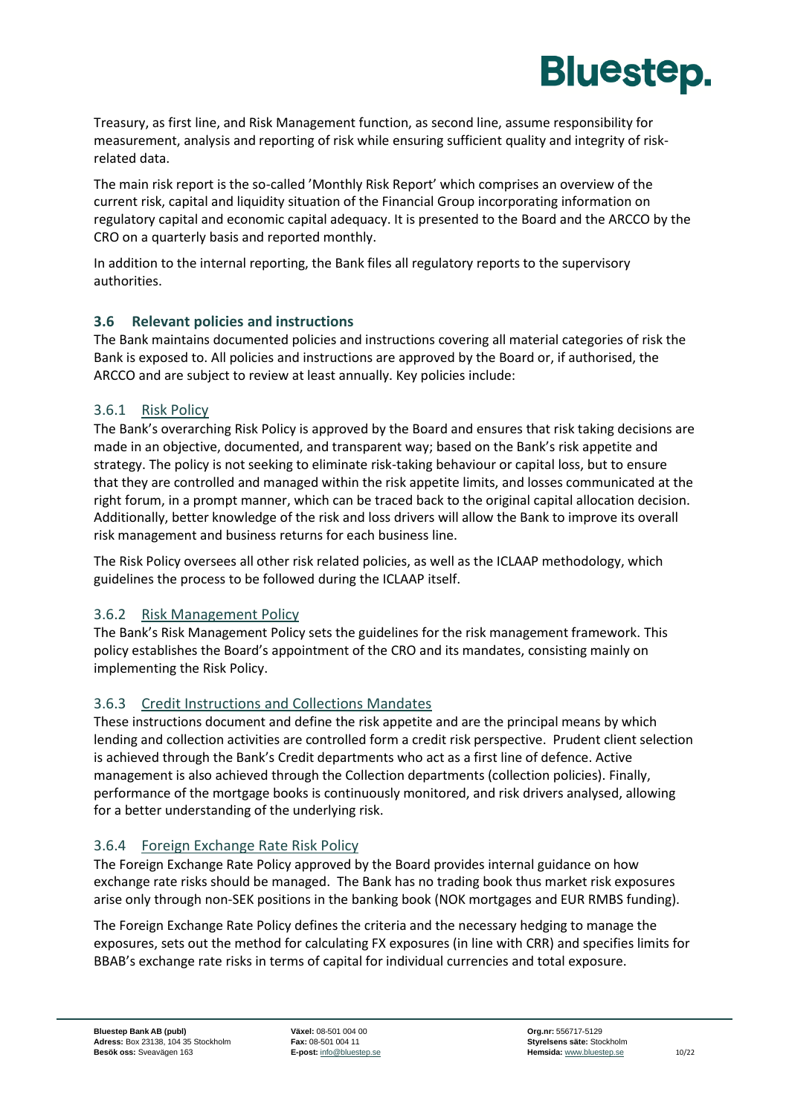

Treasury, as first line, and Risk Management function, as second line, assume responsibility for measurement, analysis and reporting of risk while ensuring sufficient quality and integrity of riskrelated data.

The main risk report is the so-called 'Monthly Risk Report' which comprises an overview of the current risk, capital and liquidity situation of the Financial Group incorporating information on regulatory capital and economic capital adequacy. It is presented to the Board and the ARCCO by the CRO on a quarterly basis and reported monthly.

In addition to the internal reporting, the Bank files all regulatory reports to the supervisory authorities.

#### <span id="page-11-0"></span>**3.6 Relevant policies and instructions**

The Bank maintains documented policies and instructions covering all material categories of risk the Bank is exposed to. All policies and instructions are approved by the Board or, if authorised, the ARCCO and are subject to review at least annually. Key policies include:

#### 3.6.1 Risk Policy

The Bank's overarching Risk Policy is approved by the Board and ensures that risk taking decisions are made in an objective, documented, and transparent way; based on the Bank's risk appetite and strategy. The policy is not seeking to eliminate risk-taking behaviour or capital loss, but to ensure that they are controlled and managed within the risk appetite limits, and losses communicated at the right forum, in a prompt manner, which can be traced back to the original capital allocation decision. Additionally, better knowledge of the risk and loss drivers will allow the Bank to improve its overall risk management and business returns for each business line.

The Risk Policy oversees all other risk related policies, as well as the ICLAAP methodology, which guidelines the process to be followed during the ICLAAP itself.

#### 3.6.2 Risk Management Policy

The Bank's Risk Management Policy sets the guidelines for the risk management framework. This policy establishes the Board's appointment of the CRO and its mandates, consisting mainly on implementing the Risk Policy.

#### 3.6.3 Credit Instructions and Collections Mandates

These instructions document and define the risk appetite and are the principal means by which lending and collection activities are controlled form a credit risk perspective. Prudent client selection is achieved through the Bank's Credit departments who act as a first line of defence. Active management is also achieved through the Collection departments (collection policies). Finally, performance of the mortgage books is continuously monitored, and risk drivers analysed, allowing for a better understanding of the underlying risk.

#### 3.6.4 Foreign Exchange Rate Risk Policy

The Foreign Exchange Rate Policy approved by the Board provides internal guidance on how exchange rate risks should be managed. The Bank has no trading book thus market risk exposures arise only through non-SEK positions in the banking book (NOK mortgages and EUR RMBS funding).

The Foreign Exchange Rate Policy defines the criteria and the necessary hedging to manage the exposures, sets out the method for calculating FX exposures (in line with CRR) and specifies limits for BBAB's exchange rate risks in terms of capital for individual currencies and total exposure.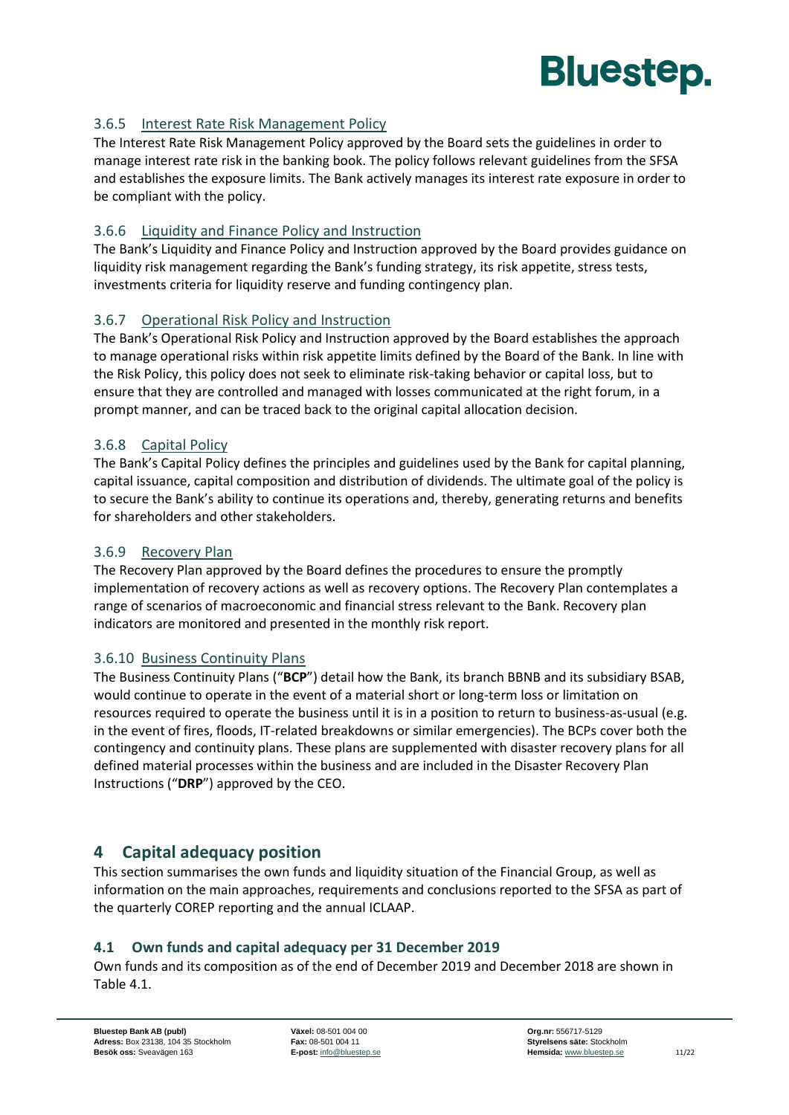

#### 3.6.5 Interest Rate Risk Management Policy

The Interest Rate Risk Management Policy approved by the Board sets the guidelines in order to manage interest rate risk in the banking book. The policy follows relevant guidelines from the SFSA and establishes the exposure limits. The Bank actively manages its interest rate exposure in order to be compliant with the policy.

#### 3.6.6 Liquidity and Finance Policy and Instruction

The Bank's Liquidity and Finance Policy and Instruction approved by the Board provides guidance on liquidity risk management regarding the Bank's funding strategy, its risk appetite, stress tests, investments criteria for liquidity reserve and funding contingency plan.

#### 3.6.7 Operational Risk Policy and Instruction

The Bank's Operational Risk Policy and Instruction approved by the Board establishes the approach to manage operational risks within risk appetite limits defined by the Board of the Bank. In line with the Risk Policy, this policy does not seek to eliminate risk-taking behavior or capital loss, but to ensure that they are controlled and managed with losses communicated at the right forum, in a prompt manner, and can be traced back to the original capital allocation decision.

#### 3.6.8 Capital Policy

The Bank's Capital Policy defines the principles and guidelines used by the Bank for capital planning, capital issuance, capital composition and distribution of dividends. The ultimate goal of the policy is to secure the Bank's ability to continue its operations and, thereby, generating returns and benefits for shareholders and other stakeholders.

#### 3.6.9 Recovery Plan

The Recovery Plan approved by the Board defines the procedures to ensure the promptly implementation of recovery actions as well as recovery options. The Recovery Plan contemplates a range of scenarios of macroeconomic and financial stress relevant to the Bank. Recovery plan indicators are monitored and presented in the monthly risk report.

#### 3.6.10 Business Continuity Plans

The Business Continuity Plans ("**BCP**") detail how the Bank, its branch BBNB and its subsidiary BSAB, would continue to operate in the event of a material short or long-term loss or limitation on resources required to operate the business until it is in a position to return to business-as-usual (e.g. in the event of fires, floods, IT-related breakdowns or similar emergencies). The BCPs cover both the contingency and continuity plans. These plans are supplemented with disaster recovery plans for all defined material processes within the business and are included in the Disaster Recovery Plan Instructions ("**DRP**") approved by the CEO.

#### <span id="page-12-0"></span>**4 Capital adequacy position**

This section summarises the own funds and liquidity situation of the Financial Group, as well as information on the main approaches, requirements and conclusions reported to the SFSA as part of the quarterly COREP reporting and the annual ICLAAP.

#### <span id="page-12-1"></span>**4.1 Own funds and capital adequacy per 31 December 2019**

Own funds and its composition as of the end of December 2019 and December 2018 are shown in [Table 4.1.](#page-13-1)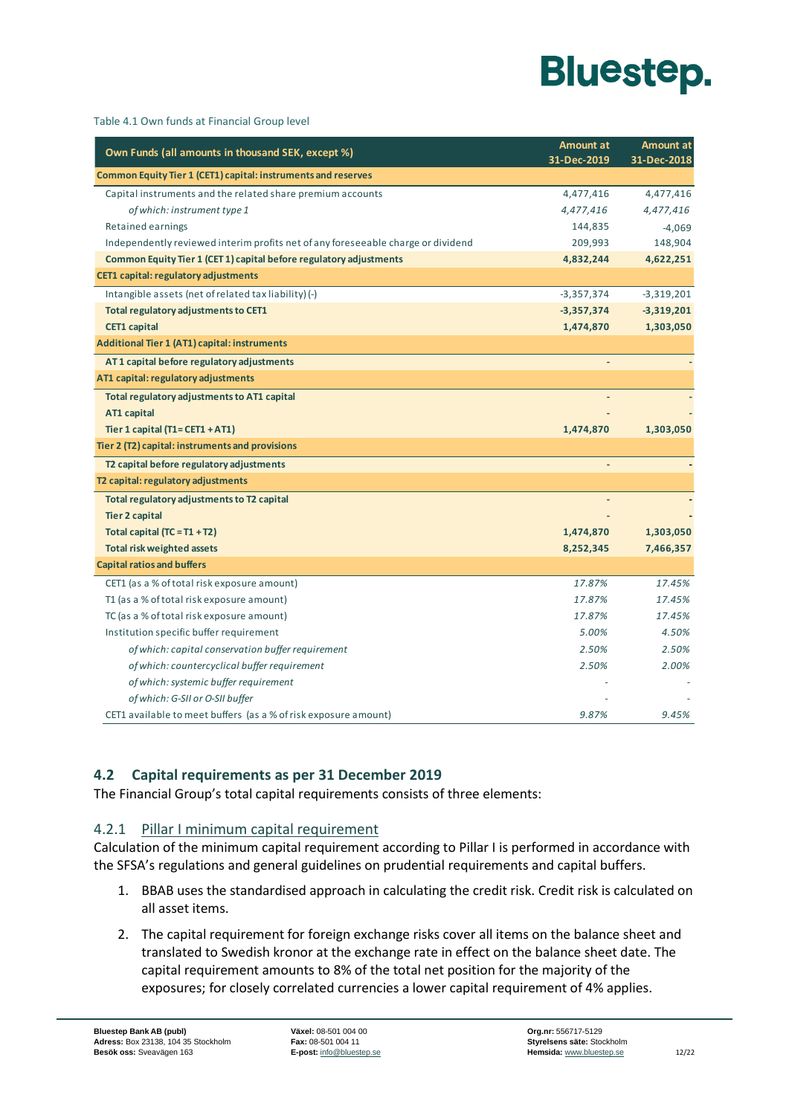

<span id="page-13-1"></span>

| Table 4.1 Own funds at Financial Group level |  |  |
|----------------------------------------------|--|--|
|----------------------------------------------|--|--|

| Own Funds (all amounts in thousand SEK, except %)                                | Amount at    | <b>Amount at</b> |
|----------------------------------------------------------------------------------|--------------|------------------|
|                                                                                  | 31-Dec-2019  | 31-Dec-2018      |
| Common Equity Tier 1 (CET1) capital: instruments and reserves                    |              |                  |
| Capital instruments and the related share premium accounts                       | 4,477,416    | 4,477,416        |
| of which: instrument type 1                                                      | 4,477,416    | 4,477,416        |
| Retained earnings                                                                | 144,835      | $-4,069$         |
| Independently reviewed interim profits net of any foreseeable charge or dividend | 209,993      | 148,904          |
| Common Equity Tier 1 (CET 1) capital before regulatory adjustments               | 4,832,244    | 4,622,251        |
| CET1 capital: regulatory adjustments                                             |              |                  |
| Intangible assets (net of related tax liability) (-)                             | $-3,357,374$ | $-3,319,201$     |
| Total regulatory adjustments to CET1                                             | $-3,357,374$ | $-3,319,201$     |
| <b>CET1 capital</b>                                                              | 1,474,870    | 1,303,050        |
| <b>Additional Tier 1 (AT1) capital: instruments</b>                              |              |                  |
| AT1 capital before regulatory adjustments                                        |              |                  |
| AT1 capital: regulatory adjustments                                              |              |                  |
| Total regulatory adjustments to AT1 capital                                      |              |                  |
| AT1 capital                                                                      |              |                  |
| Tier 1 capital $(T1 = CET1 + AT1)$                                               | 1,474,870    | 1,303,050        |
| Tier 2 (T2) capital: instruments and provisions                                  |              |                  |
| T2 capital before regulatory adjustments                                         |              |                  |
| T2 capital: regulatory adjustments                                               |              |                  |
| Total regulatory adjustments to T2 capital                                       |              |                  |
| <b>Tier 2 capital</b>                                                            |              |                  |
| Total capital $(TC = T1 + T2)$                                                   | 1,474,870    | 1,303,050        |
| <b>Total risk weighted assets</b>                                                | 8,252,345    | 7,466,357        |
| <b>Capital ratios and buffers</b>                                                |              |                  |
| CET1 (as a % of total risk exposure amount)                                      | 17.87%       | 17.45%           |
| T1 (as a % of total risk exposure amount)                                        | 17.87%       | 17.45%           |
| TC (as a % of total risk exposure amount)                                        | 17.87%       | 17.45%           |
| Institution specific buffer requirement                                          | 5.00%        | 4.50%            |
| of which: capital conservation buffer requirement                                | 2.50%        | 2.50%            |
| of which: countercyclical buffer requirement                                     | 2.50%        | 2.00%            |
| of which: systemic buffer requirement                                            |              |                  |
| of which: G-SII or O-SII buffer                                                  |              |                  |
| CET1 available to meet buffers (as a % of risk exposure amount)                  | 9.87%        | 9.45%            |

#### <span id="page-13-0"></span>**4.2 Capital requirements as per 31 December 2019**

The Financial Group's total capital requirements consists of three elements:

#### 4.2.1 Pillar I minimum capital requirement

Calculation of the minimum capital requirement according to Pillar I is performed in accordance with the SFSA's regulations and general guidelines on prudential requirements and capital buffers.

- 1. BBAB uses the standardised approach in calculating the credit risk. Credit risk is calculated on all asset items.
- 2. The capital requirement for foreign exchange risks cover all items on the balance sheet and translated to Swedish kronor at the exchange rate in effect on the balance sheet date. The capital requirement amounts to 8% of the total net position for the majority of the exposures; for closely correlated currencies a lower capital requirement of 4% applies.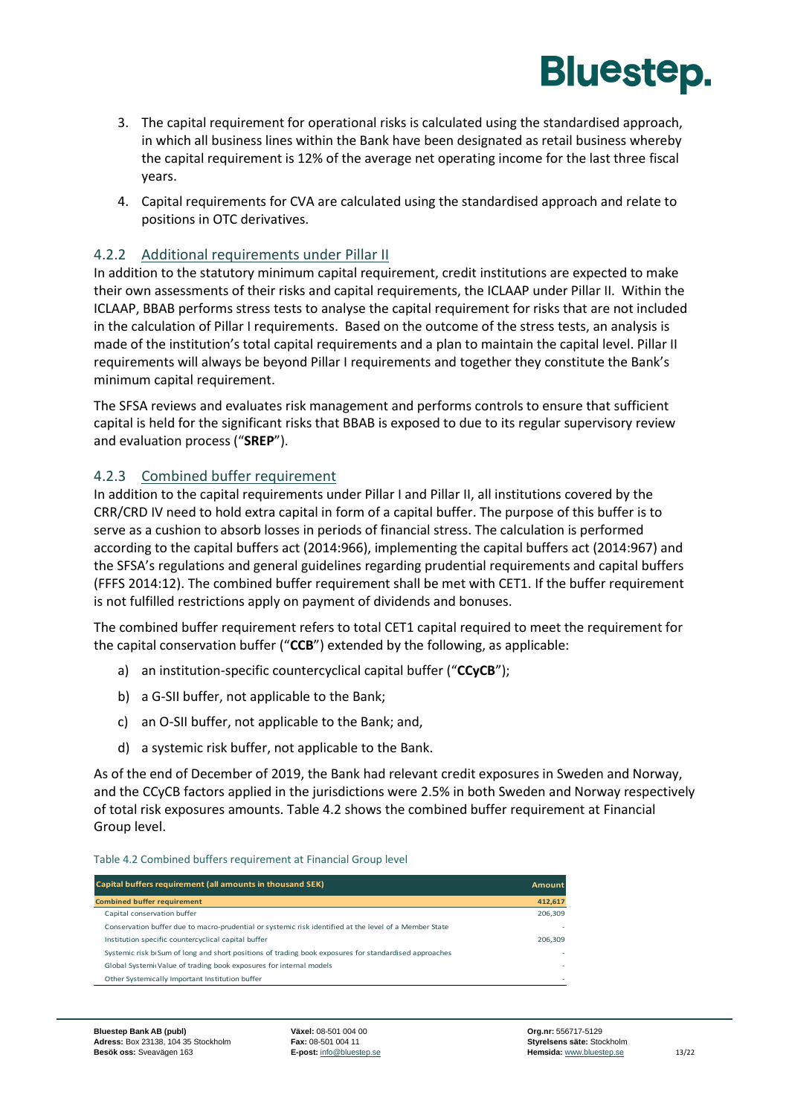

- 3. The capital requirement for operational risks is calculated using the standardised approach, in which all business lines within the Bank have been designated as retail business whereby the capital requirement is 12% of the average net operating income for the last three fiscal years.
- 4. Capital requirements for CVA are calculated using the standardised approach and relate to positions in OTC derivatives.

#### 4.2.2 Additional requirements under Pillar II

In addition to the statutory minimum capital requirement, credit institutions are expected to make their own assessments of their risks and capital requirements, the ICLAAP under Pillar II. Within the ICLAAP, BBAB performs stress tests to analyse the capital requirement for risks that are not included in the calculation of Pillar I requirements. Based on the outcome of the stress tests, an analysis is made of the institution's total capital requirements and a plan to maintain the capital level. Pillar II requirements will always be beyond Pillar I requirements and together they constitute the Bank's minimum capital requirement.

The SFSA reviews and evaluates risk management and performs controls to ensure that sufficient capital is held for the significant risks that BBAB is exposed to due to its regular supervisory review and evaluation process ("**SREP**").

#### 4.2.3 Combined buffer requirement

In addition to the capital requirements under Pillar I and Pillar II, all institutions covered by the CRR/CRD IV need to hold extra capital in form of a capital buffer. The purpose of this buffer is to serve as a cushion to absorb losses in periods of financial stress. The calculation is performed according to the capital buffers act (2014:966), implementing the capital buffers act (2014:967) and the SFSA's regulations and general guidelines regarding prudential requirements and capital buffers (FFFS 2014:12). The combined buffer requirement shall be met with CET1. If the buffer requirement is not fulfilled restrictions apply on payment of dividends and bonuses.

The combined buffer requirement refers to total CET1 capital required to meet the requirement for the capital conservation buffer ("**CCB**") extended by the following, as applicable:

- a) an institution-specific countercyclical capital buffer ("**CCyCB**");
- b) a G-SII buffer, not applicable to the Bank;
- c) an O-SII buffer, not applicable to the Bank; and,
- d) a systemic risk buffer, not applicable to the Bank.

As of the end of December of 2019, the Bank had relevant credit exposures in Sweden and Norway, and the CCyCB factors applied in the jurisdictions were 2.5% in both Sweden and Norway respectively of total risk exposures amounts. [Table 4.2](#page-14-0) shows the combined buffer requirement at Financial Group level.

#### <span id="page-14-0"></span>Table 4.2 Combined buffers requirement at Financial Group level

| Capital buffers requirement (all amounts in thousand SEK)                                              | <b>Amount</b> |
|--------------------------------------------------------------------------------------------------------|---------------|
| <b>Combined buffer requirement</b>                                                                     | 412,617       |
| Capital conservation buffer                                                                            | 206.309       |
| Conservation buffer due to macro-prudential or systemic risk identified at the level of a Member State |               |
| Institution specific countercyclical capital buffer                                                    | 206.309       |
| Systemic risk bisum of long and short positions of trading book exposures for standardised approaches  |               |
| Global SystemicValue of trading book exposures for internal models                                     | $\sim$        |
| Other Systemically Important Institution buffer                                                        | $\sim$        |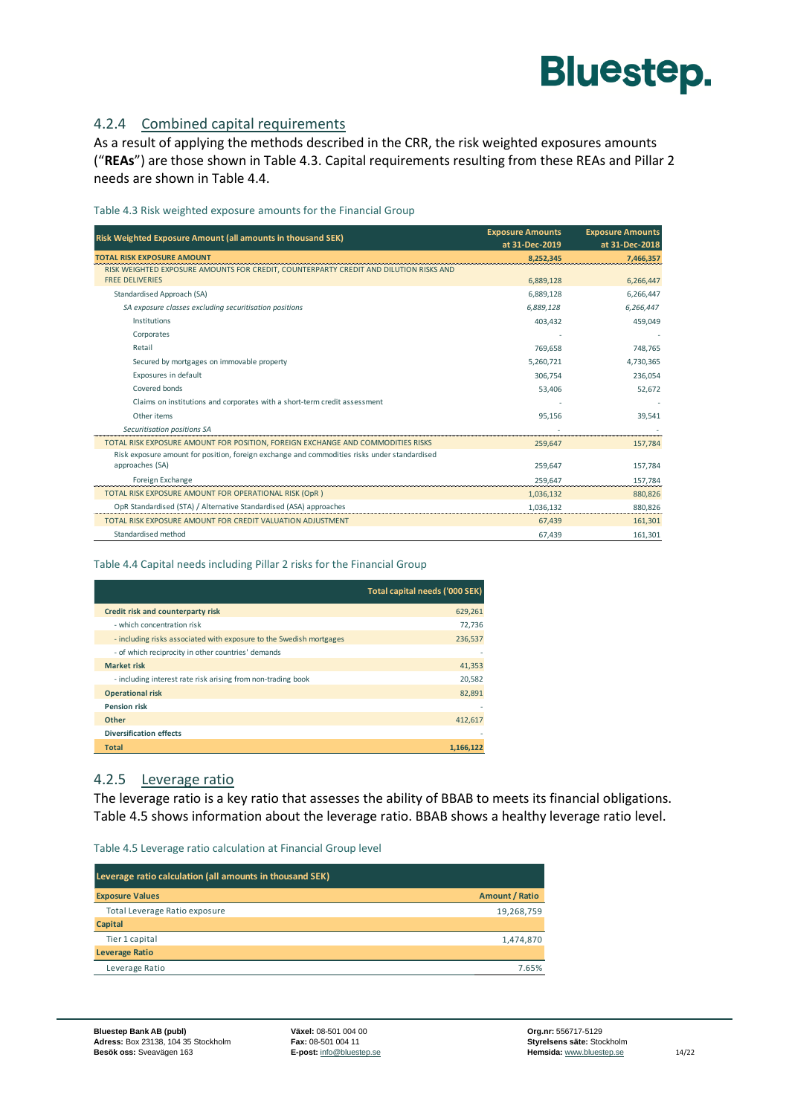

#### 4.2.4 Combined capital requirements

As a result of applying the methods described in the CRR, the risk weighted exposures amounts ("**REAs**") are those shown in [Table 4.3.](#page-15-0) Capital requirements resulting from these REAs and Pillar 2 needs are shown in [Table 4.4.](#page-15-1)

<span id="page-15-0"></span>Table 4.3 Risk weighted exposure amounts for the Financial Group

| Risk Weighted Exposure Amount (all amounts in thousand SEK)                                  | <b>Exposure Amounts</b><br>at 31-Dec-2019 | <b>Exposure Amounts</b><br>at 31-Dec-2018 |
|----------------------------------------------------------------------------------------------|-------------------------------------------|-------------------------------------------|
| <b>TOTAL RISK EXPOSURE AMOUNT</b>                                                            | 8,252,345                                 | 7,466,357                                 |
| RISK WEIGHTED EXPOSURE AMOUNTS FOR CREDIT, COUNTERPARTY CREDIT AND DILUTION RISKS AND        |                                           |                                           |
| <b>FREE DELIVERIES</b>                                                                       | 6,889,128                                 | 6,266,447                                 |
| Standardised Approach (SA)                                                                   | 6,889,128                                 | 6,266,447                                 |
| SA exposure classes excluding securitisation positions                                       | 6,889,128                                 | 6,266,447                                 |
| Institutions                                                                                 | 403,432                                   | 459,049                                   |
| Corporates                                                                                   |                                           |                                           |
| Retail                                                                                       | 769,658                                   | 748.765                                   |
| Secured by mortgages on immovable property                                                   | 5,260,721                                 | 4,730,365                                 |
| Exposures in default                                                                         | 306,754                                   | 236,054                                   |
| Covered bonds                                                                                | 53,406                                    | 52,672                                    |
| Claims on institutions and corporates with a short-term credit assessment                    |                                           |                                           |
| Other items                                                                                  | 95,156                                    | 39,541                                    |
| Securitisation positions SA                                                                  |                                           |                                           |
| TOTAL RISK EXPOSURE AMOUNT FOR POSITION, FOREIGN EXCHANGE AND COMMODITIES RISKS              | 259.647                                   | 157.784                                   |
| Risk exposure amount for position, foreign exchange and commodities risks under standardised |                                           |                                           |
| approaches (SA)                                                                              | 259,647                                   | 157,784                                   |
| Foreign Exchange                                                                             | 259.647                                   | 157,784                                   |
| TOTAL RISK EXPOSURE AMOUNT FOR OPERATIONAL RISK (OpR)                                        | 1,036,132                                 | 880,826                                   |
| OpR Standardised (STA) / Alternative Standardised (ASA) approaches                           | 1,036,132                                 | 880,826                                   |
| TOTAL RISK EXPOSURE AMOUNT FOR CREDIT VALUATION ADJUSTMENT                                   | 67,439                                    | 161,301                                   |
| Standardised method                                                                          | 67,439                                    | 161,301                                   |

#### <span id="page-15-1"></span>Table 4.4 Capital needs including Pillar 2 risks for the Financial Group

|                                                                     | Total capital needs ('000 SEK) |
|---------------------------------------------------------------------|--------------------------------|
| Credit risk and counterparty risk                                   | 629,261                        |
| - which concentration risk                                          | 72,736                         |
| - including risks associated with exposure to the Swedish mortgages | 236,537                        |
| - of which reciprocity in other countries' demands                  |                                |
| <b>Market risk</b>                                                  | 41,353                         |
| - including interest rate risk arising from non-trading book        | 20,582                         |
| <b>Operational risk</b>                                             | 82.891                         |
| <b>Pension risk</b>                                                 |                                |
| <b>Other</b>                                                        | 412.617                        |
| <b>Diversification effects</b>                                      |                                |
| <b>Total</b>                                                        | 1.166.122                      |

#### 4.2.5 Leverage ratio

The leverage ratio is a key ratio that assesses the ability of BBAB to meets its financial obligations. [Table 4.5](#page-15-2) shows information about the leverage ratio. BBAB shows a healthy leverage ratio level.

#### <span id="page-15-2"></span>Table 4.5 Leverage ratio calculation at Financial Group level

| Leverage ratio calculation (all amounts in thousand SEK) |                       |  |
|----------------------------------------------------------|-----------------------|--|
| <b>Exposure Values</b>                                   | <b>Amount / Ratio</b> |  |
| Total Leverage Ratio exposure                            | 19,268,759            |  |
| Capital                                                  |                       |  |
| Tier 1 capital                                           | 1,474,870             |  |
| <b>Leverage Ratio</b>                                    |                       |  |
| Leverage Ratio                                           | 7.65%                 |  |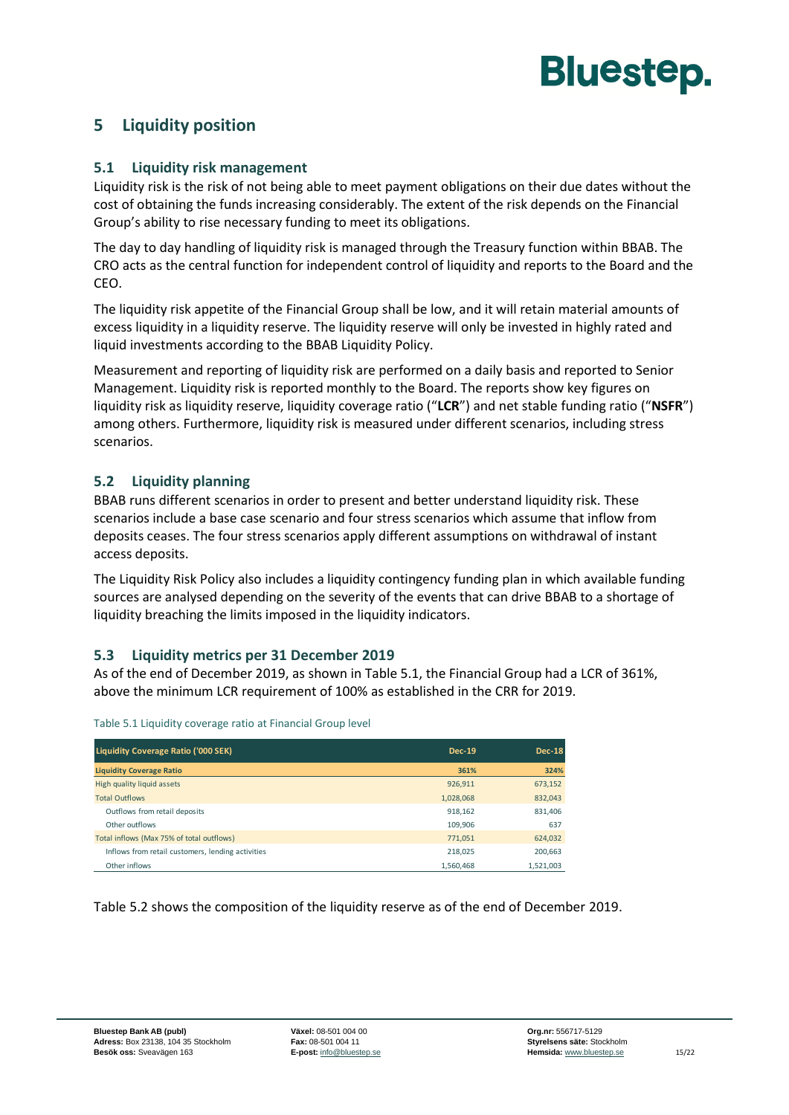

#### <span id="page-16-1"></span><span id="page-16-0"></span>**5 Liquidity position**

#### **5.1 Liquidity risk management**

Liquidity risk is the risk of not being able to meet payment obligations on their due dates without the cost of obtaining the funds increasing considerably. The extent of the risk depends on the Financial Group's ability to rise necessary funding to meet its obligations.

The day to day handling of liquidity risk is managed through the Treasury function within BBAB. The CRO acts as the central function for independent control of liquidity and reports to the Board and the CEO.

The liquidity risk appetite of the Financial Group shall be low, and it will retain material amounts of excess liquidity in a liquidity reserve. The liquidity reserve will only be invested in highly rated and liquid investments according to the BBAB Liquidity Policy.

Measurement and reporting of liquidity risk are performed on a daily basis and reported to Senior Management. Liquidity risk is reported monthly to the Board. The reports show key figures on liquidity risk as liquidity reserve, liquidity coverage ratio ("**LCR**") and net stable funding ratio ("**NSFR**") among others. Furthermore, liquidity risk is measured under different scenarios, including stress scenarios.

#### <span id="page-16-2"></span>**5.2 Liquidity planning**

BBAB runs different scenarios in order to present and better understand liquidity risk. These scenarios include a base case scenario and four stress scenarios which assume that inflow from deposits ceases. The four stress scenarios apply different assumptions on withdrawal of instant access deposits.

The Liquidity Risk Policy also includes a liquidity contingency funding plan in which available funding sources are analysed depending on the severity of the events that can drive BBAB to a shortage of liquidity breaching the limits imposed in the liquidity indicators.

#### <span id="page-16-3"></span>**5.3 Liquidity metrics per 31 December 2019**

As of the end of December 2019, as shown i[n Table 5.1,](#page-16-4) the Financial Group had a LCR of 361%, above the minimum LCR requirement of 100% as established in the CRR for 2019.

| Liquidity Coverage Ratio ('000 SEK)               | <b>Dec-19</b> | Dec-18    |
|---------------------------------------------------|---------------|-----------|
| <b>Liquidity Coverage Ratio</b>                   | 361%          | 324%      |
| High quality liquid assets                        | 926.911       | 673,152   |
| <b>Total Outflows</b>                             | 1,028,068     | 832,043   |
| Outflows from retail deposits                     | 918,162       | 831,406   |
| Other outflows                                    | 109,906       | 637       |
| Total inflows (Max 75% of total outflows)         | 771,051       | 624,032   |
| Inflows from retail customers, lending activities | 218.025       | 200.663   |
| Other inflows                                     | 1.560.468     | 1.521.003 |

<span id="page-16-4"></span>Table 5.1 Liquidity coverage ratio at Financial Group level

[Table 5.2](#page-17-3) shows the composition of the liquidity reserve as of the end of December 2019.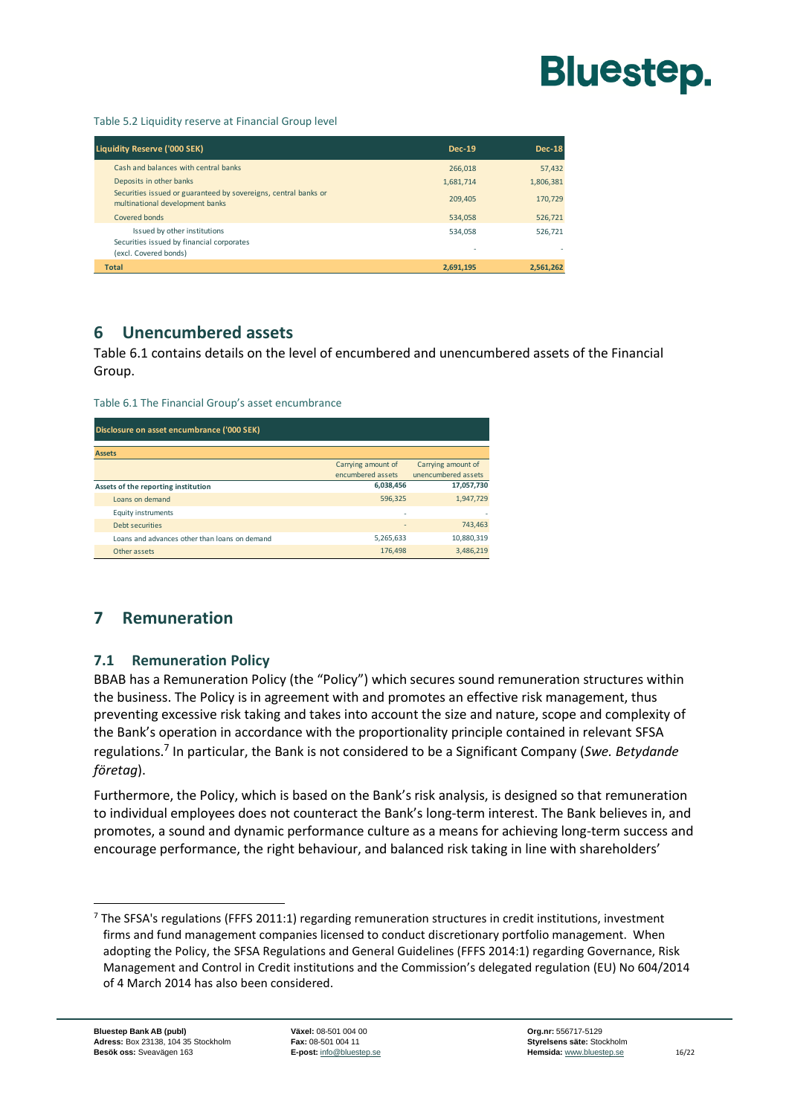

<span id="page-17-3"></span>Table 5.2 Liquidity reserve at Financial Group level

| <b>Liquidity Reserve ('000 SEK)</b>                                                                | <b>Dec-19</b> | <b>Dec-18</b> |
|----------------------------------------------------------------------------------------------------|---------------|---------------|
| Cash and balances with central banks                                                               | 266,018       | 57,432        |
| Deposits in other banks                                                                            | 1.681.714     | 1,806,381     |
| Securities issued or guaranteed by sovereigns, central banks or<br>multinational development banks | 209.405       | 170,729       |
| Covered bonds                                                                                      | 534.058       | 526,721       |
| Issued by other institutions<br>Securities issued by financial corporates<br>(excl. Covered bonds) | 534.058       | 526.721       |
| <b>Total</b>                                                                                       | 2,691,195     | 2,561,262     |

#### <span id="page-17-0"></span>**6 Unencumbered assets**

[Table 6.1](#page-17-4) contains details on the level of encumbered and unencumbered assets of the Financial Group.

<span id="page-17-4"></span>

| Table 6.1 The Financial Group's asset encumbrance |  |  |
|---------------------------------------------------|--|--|
|---------------------------------------------------|--|--|

| Disclosure on asset encumbrance ('000 SEK) |                                               |                    |                     |
|--------------------------------------------|-----------------------------------------------|--------------------|---------------------|
|                                            |                                               |                    |                     |
| <b>Assets</b>                              |                                               |                    |                     |
|                                            |                                               | Carrying amount of | Carrying amount of  |
|                                            |                                               | encumbered assets  | unencumbered assets |
|                                            | Assets of the reporting institution           | 6,038,456          | 17,057,730          |
|                                            | Loans on demand                               | 596,325            | 1,947,729           |
|                                            | <b>Equity instruments</b>                     | ٠                  |                     |
|                                            | Debt securities                               | ٠                  | 743.463             |
|                                            | Loans and advances other than loans on demand | 5,265,633          | 10,880,319          |
|                                            | Other assets                                  | 176,498            | 3,486,219           |

#### <span id="page-17-2"></span><span id="page-17-1"></span>**7 Remuneration**

#### **7.1 Remuneration Policy**

BBAB has a Remuneration Policy (the "Policy") which secures sound remuneration structures within the business. The Policy is in agreement with and promotes an effective risk management, thus preventing excessive risk taking and takes into account the size and nature, scope and complexity of the Bank's operation in accordance with the proportionality principle contained in relevant SFSA regulations.<sup>7</sup> In particular, the Bank is not considered to be a Significant Company (*Swe. Betydande företag*).

Furthermore, the Policy, which is based on the Bank's risk analysis, is designed so that remuneration to individual employees does not counteract the Bank's long-term interest. The Bank believes in, and promotes, a sound and dynamic performance culture as a means for achieving long-term success and encourage performance, the right behaviour, and balanced risk taking in line with shareholders'

 $7$  The SFSA's regulations (FFFS 2011:1) regarding remuneration structures in credit institutions, investment firms and fund management companies licensed to conduct discretionary portfolio management. When adopting the Policy, the SFSA Regulations and General Guidelines (FFFS 2014:1) regarding Governance, Risk Management and Control in Credit institutions and the Commission's delegated regulation (EU) No 604/2014 of 4 March 2014 has also been considered.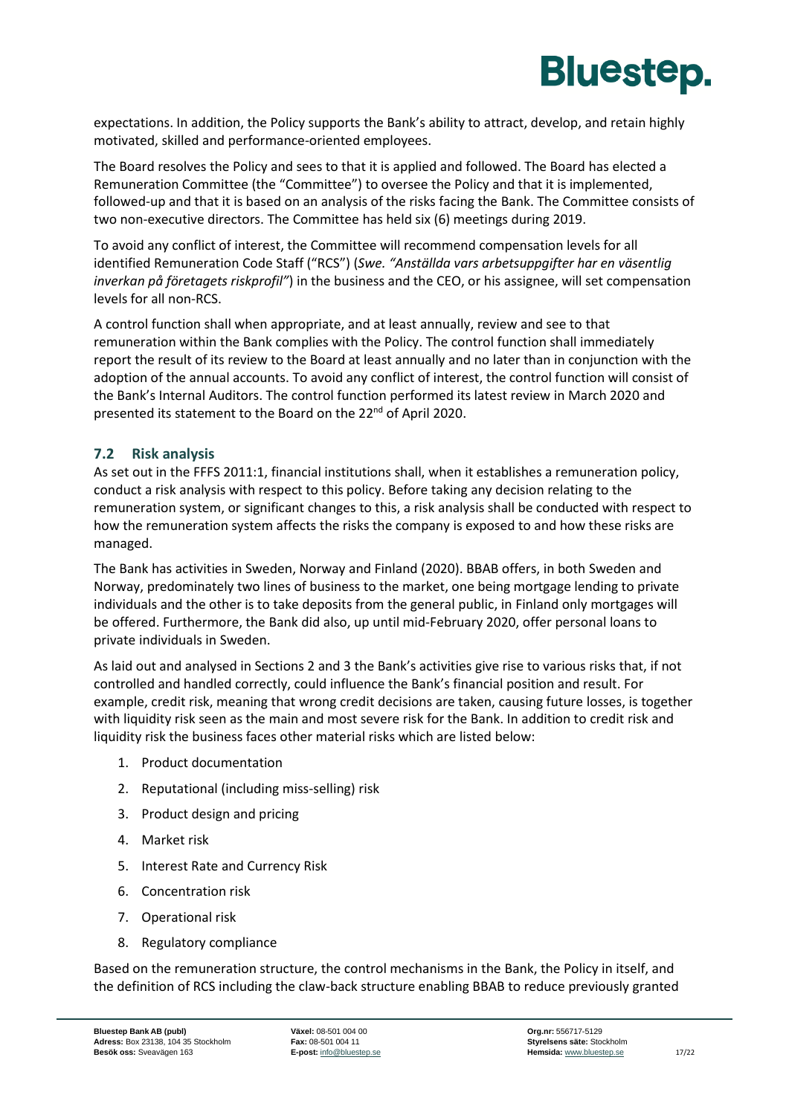

expectations. In addition, the Policy supports the Bank's ability to attract, develop, and retain highly motivated, skilled and performance-oriented employees.

The Board resolves the Policy and sees to that it is applied and followed. The Board has elected a Remuneration Committee (the "Committee") to oversee the Policy and that it is implemented, followed-up and that it is based on an analysis of the risks facing the Bank. The Committee consists of two non-executive directors. The Committee has held six (6) meetings during 2019.

To avoid any conflict of interest, the Committee will recommend compensation levels for all identified Remuneration Code Staff ("RCS") (*Swe. "Anställda vars arbetsuppgifter har en väsentlig inverkan på företagets riskprofil"*) in the business and the CEO, or his assignee, will set compensation levels for all non-RCS.

A control function shall when appropriate, and at least annually, review and see to that remuneration within the Bank complies with the Policy. The control function shall immediately report the result of its review to the Board at least annually and no later than in conjunction with the adoption of the annual accounts. To avoid any conflict of interest, the control function will consist of the Bank's Internal Auditors. The control function performed its latest review in March 2020 and presented its statement to the Board on the 22<sup>nd</sup> of April 2020.

#### <span id="page-18-0"></span>**7.2 Risk analysis**

As set out in the FFFS 2011:1, financial institutions shall, when it establishes a remuneration policy, conduct a risk analysis with respect to this policy. Before taking any decision relating to the remuneration system, or significant changes to this, a risk analysis shall be conducted with respect to how the remuneration system affects the risks the company is exposed to and how these risks are managed.

The Bank has activities in Sweden, Norway and Finland (2020). BBAB offers, in both Sweden and Norway, predominately two lines of business to the market, one being mortgage lending to private individuals and the other is to take deposits from the general public, in Finland only mortgages will be offered. Furthermore, the Bank did also, up until mid-February 2020, offer personal loans to private individuals in Sweden.

As laid out and analysed in Sections 2 and 3 the Bank's activities give rise to various risks that, if not controlled and handled correctly, could influence the Bank's financial position and result. For example, credit risk, meaning that wrong credit decisions are taken, causing future losses, is together with liquidity risk seen as the main and most severe risk for the Bank. In addition to credit risk and liquidity risk the business faces other material risks which are listed below:

- 1. Product documentation
- 2. Reputational (including miss-selling) risk
- 3. Product design and pricing
- 4. Market risk
- 5. Interest Rate and Currency Risk
- 6. Concentration risk
- 7. Operational risk
- 8. Regulatory compliance

Based on the remuneration structure, the control mechanisms in the Bank, the Policy in itself, and the definition of RCS including the claw-back structure enabling BBAB to reduce previously granted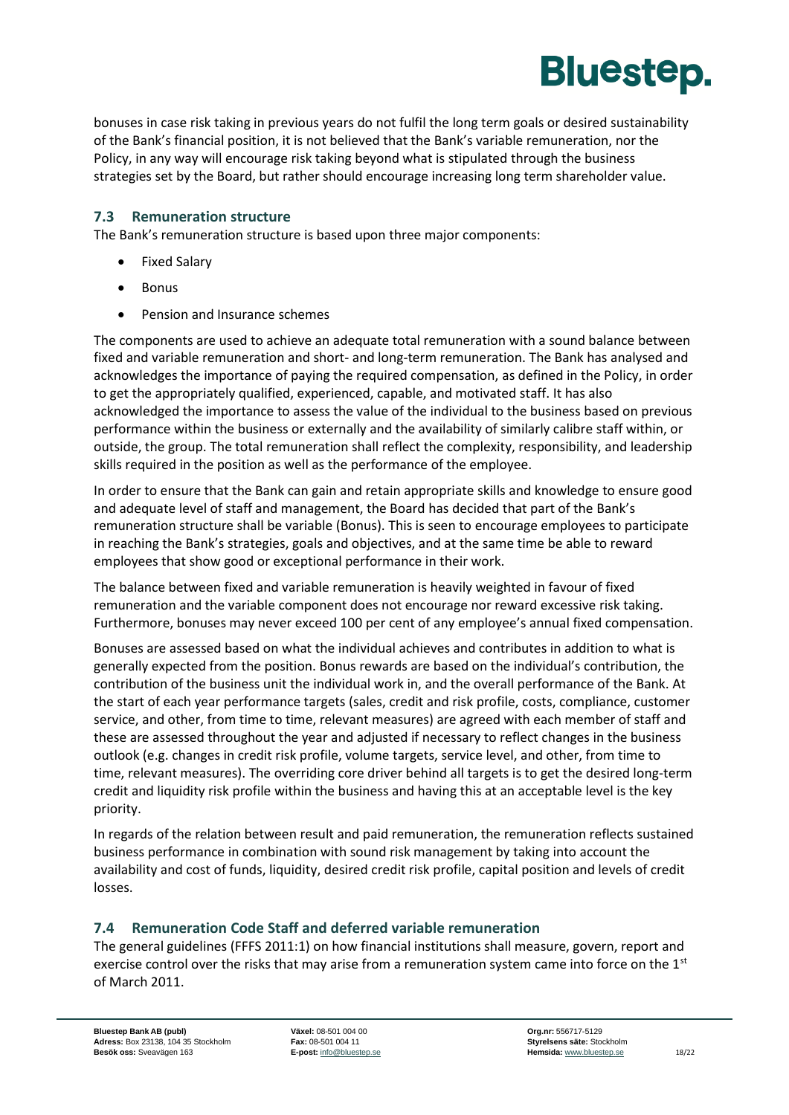

bonuses in case risk taking in previous years do not fulfil the long term goals or desired sustainability of the Bank's financial position, it is not believed that the Bank's variable remuneration, nor the Policy, in any way will encourage risk taking beyond what is stipulated through the business strategies set by the Board, but rather should encourage increasing long term shareholder value.

#### <span id="page-19-0"></span>**7.3 Remuneration structure**

The Bank's remuneration structure is based upon three major components:

- Fixed Salary
- Bonus
- Pension and Insurance schemes

The components are used to achieve an adequate total remuneration with a sound balance between fixed and variable remuneration and short- and long-term remuneration. The Bank has analysed and acknowledges the importance of paying the required compensation, as defined in the Policy, in order to get the appropriately qualified, experienced, capable, and motivated staff. It has also acknowledged the importance to assess the value of the individual to the business based on previous performance within the business or externally and the availability of similarly calibre staff within, or outside, the group. The total remuneration shall reflect the complexity, responsibility, and leadership skills required in the position as well as the performance of the employee.

In order to ensure that the Bank can gain and retain appropriate skills and knowledge to ensure good and adequate level of staff and management, the Board has decided that part of the Bank's remuneration structure shall be variable (Bonus). This is seen to encourage employees to participate in reaching the Bank's strategies, goals and objectives, and at the same time be able to reward employees that show good or exceptional performance in their work.

The balance between fixed and variable remuneration is heavily weighted in favour of fixed remuneration and the variable component does not encourage nor reward excessive risk taking. Furthermore, bonuses may never exceed 100 per cent of any employee's annual fixed compensation.

Bonuses are assessed based on what the individual achieves and contributes in addition to what is generally expected from the position. Bonus rewards are based on the individual's contribution, the contribution of the business unit the individual work in, and the overall performance of the Bank. At the start of each year performance targets (sales, credit and risk profile, costs, compliance, customer service, and other, from time to time, relevant measures) are agreed with each member of staff and these are assessed throughout the year and adjusted if necessary to reflect changes in the business outlook (e.g. changes in credit risk profile, volume targets, service level, and other, from time to time, relevant measures). The overriding core driver behind all targets is to get the desired long-term credit and liquidity risk profile within the business and having this at an acceptable level is the key priority.

In regards of the relation between result and paid remuneration, the remuneration reflects sustained business performance in combination with sound risk management by taking into account the availability and cost of funds, liquidity, desired credit risk profile, capital position and levels of credit losses.

#### <span id="page-19-1"></span>**7.4 Remuneration Code Staff and deferred variable remuneration**

The general guidelines (FFFS 2011:1) on how financial institutions shall measure, govern, report and exercise control over the risks that may arise from a remuneration system came into force on the  $1<sup>st</sup>$ of March 2011.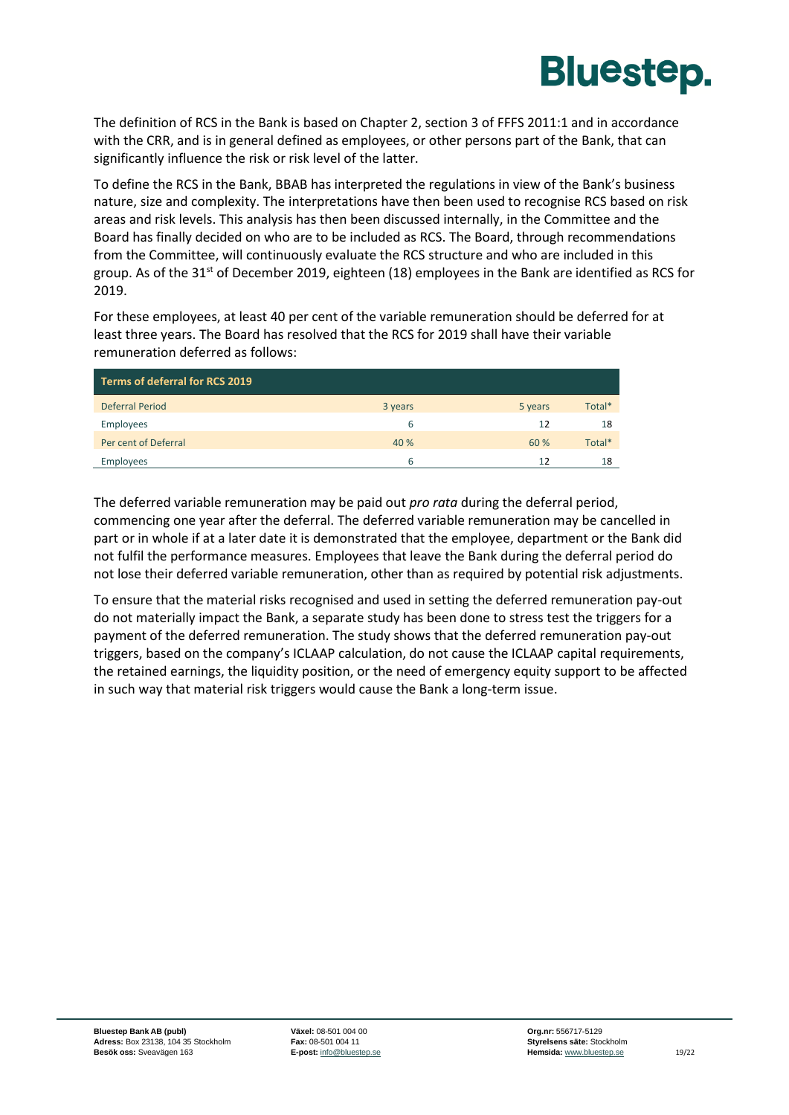

The definition of RCS in the Bank is based on Chapter 2, section 3 of FFFS 2011:1 and in accordance with the CRR, and is in general defined as employees, or other persons part of the Bank, that can significantly influence the risk or risk level of the latter.

To define the RCS in the Bank, BBAB has interpreted the regulations in view of the Bank's business nature, size and complexity. The interpretations have then been used to recognise RCS based on risk areas and risk levels. This analysis has then been discussed internally, in the Committee and the Board has finally decided on who are to be included as RCS. The Board, through recommendations from the Committee, will continuously evaluate the RCS structure and who are included in this group. As of the 31<sup>st</sup> of December 2019, eighteen (18) employees in the Bank are identified as RCS for 2019.

For these employees, at least 40 per cent of the variable remuneration should be deferred for at least three years. The Board has resolved that the RCS for 2019 shall have their variable remuneration deferred as follows:

| Terms of deferral for RCS 2019 |         |         |        |
|--------------------------------|---------|---------|--------|
| <b>Deferral Period</b>         | 3 years | 5 years | Total* |
| Employees                      | 6       | 12      | 18     |
| Per cent of Deferral           | 40 %    | 60 %    | Total* |
| Employees                      | 6       | 12      | 18     |

The deferred variable remuneration may be paid out *pro rata* during the deferral period, commencing one year after the deferral. The deferred variable remuneration may be cancelled in part or in whole if at a later date it is demonstrated that the employee, department or the Bank did not fulfil the performance measures. Employees that leave the Bank during the deferral period do not lose their deferred variable remuneration, other than as required by potential risk adjustments.

To ensure that the material risks recognised and used in setting the deferred remuneration pay-out do not materially impact the Bank, a separate study has been done to stress test the triggers for a payment of the deferred remuneration. The study shows that the deferred remuneration pay-out triggers, based on the company's ICLAAP calculation, do not cause the ICLAAP capital requirements, the retained earnings, the liquidity position, or the need of emergency equity support to be affected in such way that material risk triggers would cause the Bank a long-term issue.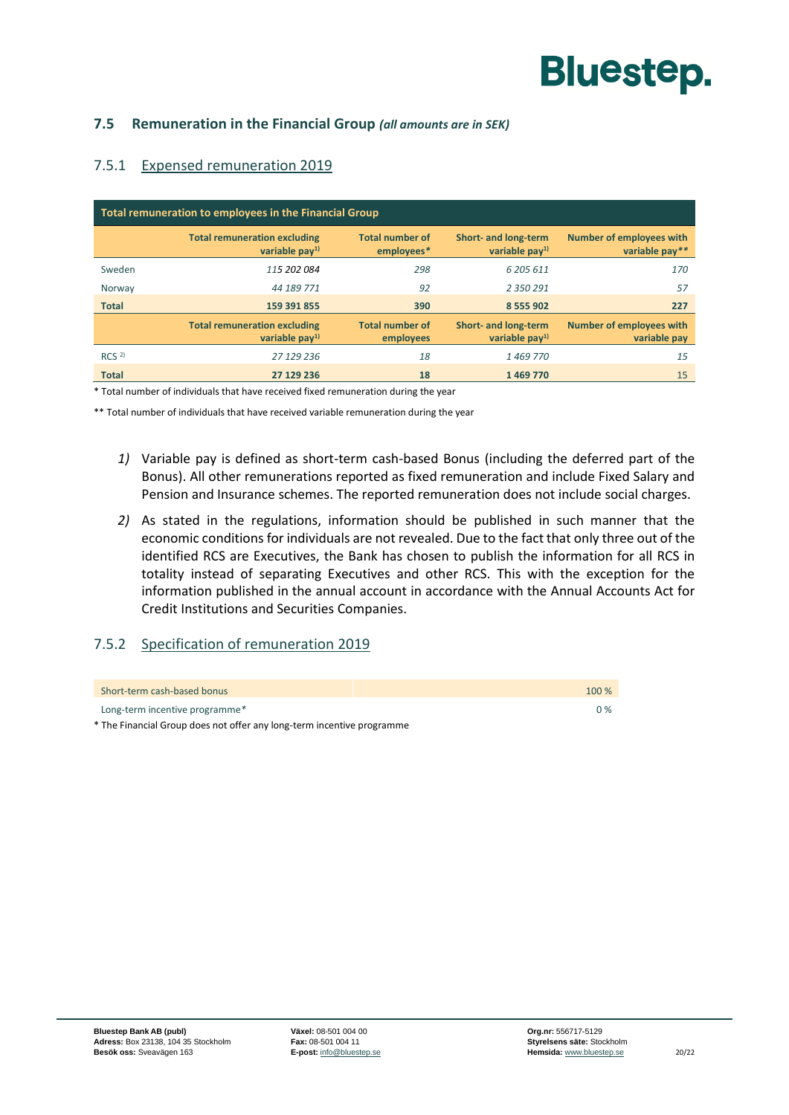#### <span id="page-21-0"></span>**7.5 Remuneration in the Financial Group** *(all amounts are in SEK)*

#### 7.5.1 Expensed remuneration 2019

| Total remuneration to employees in the Financial Group |                                                        |                                      |                                         |                                                   |
|--------------------------------------------------------|--------------------------------------------------------|--------------------------------------|-----------------------------------------|---------------------------------------------------|
|                                                        | <b>Total remuneration excluding</b><br>variable $pay1$ | <b>Total number of</b><br>employees* | Short- and long-term<br>variable $pay1$ | <b>Number of employees with</b><br>variable pay** |
| Sweden                                                 | 115 202 084                                            | 298                                  | 6 205 611                               | 170                                               |
| Norway                                                 | 44 189 771                                             | 92                                   | 2 350 291                               | 57                                                |
| <b>Total</b>                                           | 159 391 855                                            | 390                                  | 8 5 5 9 0 2                             | 227                                               |
|                                                        | <b>Total remuneration excluding</b><br>variable $pay1$ | <b>Total number of</b><br>employees  | Short- and long-term<br>variable $pay1$ | <b>Number of employees with</b><br>variable pay   |
| RCS <sup>2</sup>                                       | 27 129 236                                             | 18                                   | 1469770                                 | 15                                                |
| <b>Total</b>                                           | 27 129 236                                             | 18                                   | 1469770                                 | 15                                                |

\* Total number of individuals that have received fixed remuneration during the year

\*\* Total number of individuals that have received variable remuneration during the year

- *1)* Variable pay is defined as short-term cash-based Bonus (including the deferred part of the Bonus). All other remunerations reported as fixed remuneration and include Fixed Salary and Pension and Insurance schemes. The reported remuneration does not include social charges.
- *2)* As stated in the regulations, information should be published in such manner that the economic conditions for individuals are not revealed. Due to the fact that only three out of the identified RCS are Executives, the Bank has chosen to publish the information for all RCS in totality instead of separating Executives and other RCS. This with the exception for the information published in the annual account in accordance with the Annual Accounts Act for Credit Institutions and Securities Companies.

#### 7.5.2 Specification of remuneration 2019

| Short-term cash-based bonus    | 100 % |
|--------------------------------|-------|
| Long-term incentive programme* | 0%    |

\* The Financial Group does not offer any long-term incentive programme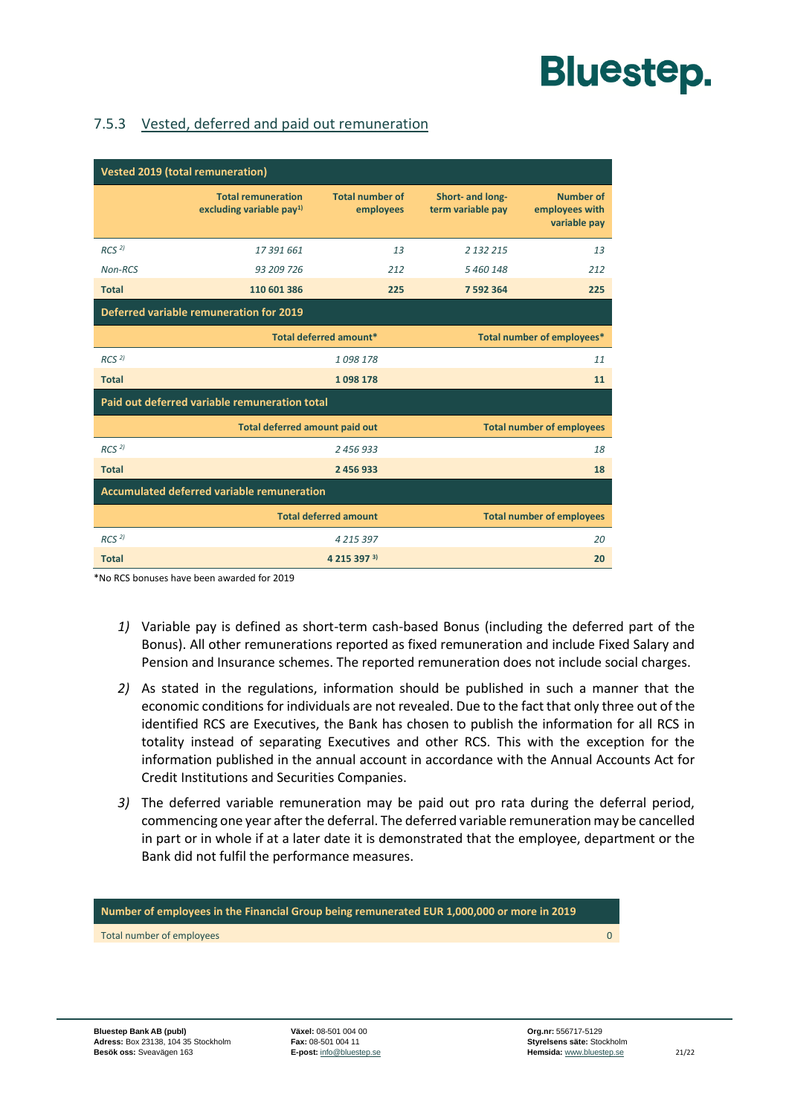#### 7.5.3 Vested, deferred and paid out remuneration

| <b>Vested 2019 (total remuneration)</b>           |                                                                           |                                     |                                       |                                                    |
|---------------------------------------------------|---------------------------------------------------------------------------|-------------------------------------|---------------------------------------|----------------------------------------------------|
|                                                   | <b>Total remuneration</b><br>excluding variable pay <sup>1)</sup>         | <b>Total number of</b><br>employees | Short- and long-<br>term variable pay | <b>Number of</b><br>employees with<br>variable pay |
| RCS <sup>2</sup>                                  | 17391661                                                                  | 13                                  | 2 132 215                             | 13                                                 |
| Non-RCS                                           | 93 209 726                                                                | 212                                 | 5 460 148                             | 212                                                |
| <b>Total</b>                                      | 110 601 386                                                               | 225                                 | 7 592 364                             | 225                                                |
| <b>Deferred variable remuneration for 2019</b>    |                                                                           |                                     |                                       |                                                    |
|                                                   | Total deferred amount*                                                    |                                     |                                       | Total number of employees*                         |
| RCS <sup>2</sup>                                  |                                                                           | 1098178                             | 11                                    |                                                    |
| <b>Total</b>                                      | 1098178                                                                   |                                     | 11                                    |                                                    |
| Paid out deferred variable remuneration total     |                                                                           |                                     |                                       |                                                    |
|                                                   | <b>Total deferred amount paid out</b><br><b>Total number of employees</b> |                                     |                                       |                                                    |
| RCS <sup>2</sup>                                  |                                                                           | 2456933                             | 18                                    |                                                    |
| <b>Total</b>                                      | 2 456 933                                                                 |                                     | 18                                    |                                                    |
| <b>Accumulated deferred variable remuneration</b> |                                                                           |                                     |                                       |                                                    |
|                                                   |                                                                           | <b>Total deferred amount</b>        |                                       | <b>Total number of employees</b>                   |
| RCS <sup>2</sup>                                  |                                                                           | 4 2 1 5 3 9 7                       |                                       | 20                                                 |
| <b>Total</b>                                      | 4 2 1 5 3 9 7 3)<br>20                                                    |                                     |                                       |                                                    |

\*No RCS bonuses have been awarded for 2019

- *1)* Variable pay is defined as short-term cash-based Bonus (including the deferred part of the Bonus). All other remunerations reported as fixed remuneration and include Fixed Salary and Pension and Insurance schemes. The reported remuneration does not include social charges.
- *2)* As stated in the regulations, information should be published in such a manner that the economic conditions for individuals are not revealed. Due to the fact that only three out of the identified RCS are Executives, the Bank has chosen to publish the information for all RCS in totality instead of separating Executives and other RCS. This with the exception for the information published in the annual account in accordance with the Annual Accounts Act for Credit Institutions and Securities Companies.
- *3)* The deferred variable remuneration may be paid out pro rata during the deferral period, commencing one year after the deferral. The deferred variable remuneration may be cancelled in part or in whole if at a later date it is demonstrated that the employee, department or the Bank did not fulfil the performance measures.